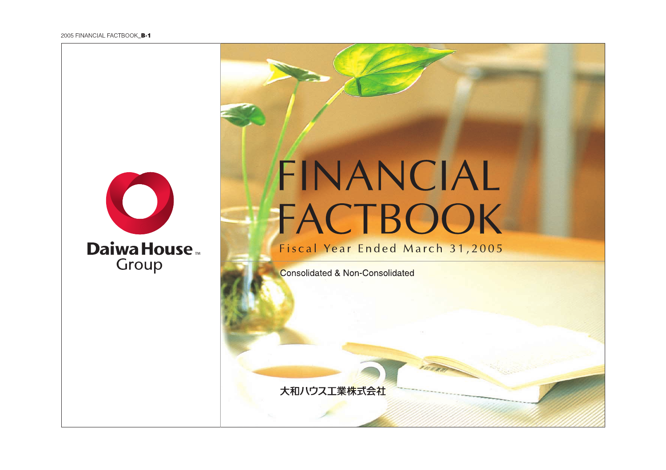

# **Daiwa House** Group

# FINANCIAL FACTBOOK

## Fiscal Year Ended March 31,2005

**Consolidated & Non-Consolidated** 

大和ハウス工業株式会社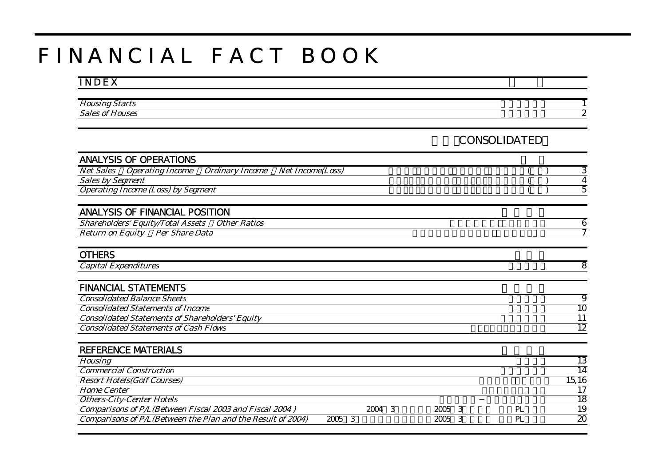# F I N A N C I A L F A C T B O O K

#### I N D E X

| Hou   |   |
|-------|---|
| Sale. | _ |
|       |   |

#### 連結(CONSOLIDATED)

| <b>ANALYSIS OF OPERATIONS</b>                                                                    |           |        |      |   |    |                 |
|--------------------------------------------------------------------------------------------------|-----------|--------|------|---|----|-----------------|
| <b>Net Sales</b><br><b>Operating Income</b><br><b>Ordinary Income</b><br><b>Net Income(Loss)</b> |           |        |      |   |    | З               |
| Sales by Segment                                                                                 |           |        |      |   |    | 4               |
| <b>Operating Income (Loss) by Segment</b>                                                        |           |        |      |   |    | 5               |
|                                                                                                  |           |        |      |   |    |                 |
| <b>ANALYSIS OF FINANCIAL POSITION</b>                                                            |           |        |      |   |    |                 |
| <b>Shareholders' Equity/Total Assets</b><br><b>Other Ratios</b>                                  |           |        |      |   |    | 6               |
| Return on Equity Per Share Data                                                                  |           |        |      |   |    | 7               |
|                                                                                                  |           |        |      |   |    |                 |
| <b>OTHERS</b>                                                                                    |           |        |      |   |    |                 |
| <b>Capital Expenditures</b>                                                                      |           |        |      |   |    | 8               |
|                                                                                                  |           |        |      |   |    |                 |
| <b>FINANCIAL STATEMENTS</b>                                                                      |           |        |      |   |    |                 |
| <b>Consolidated Balance Sheets</b>                                                               |           |        |      |   |    | $\overline{9}$  |
| <b>Consolidated Statements of Income</b>                                                         |           |        |      |   |    | 10              |
| <b>Consolidated Statements of Shareholders' Equity</b>                                           |           |        |      |   |    | $\overline{11}$ |
| <b>Consolidated Statements of Cash Flows</b>                                                     |           |        |      |   |    | $\overline{12}$ |
|                                                                                                  |           |        |      |   |    |                 |
| <b>REFERENCE MATERIALS</b>                                                                       |           |        |      |   |    |                 |
| <b>Housing</b>                                                                                   |           |        |      |   |    | 13              |
| <b>Commercial Construction</b>                                                                   |           |        |      |   |    | $\overline{14}$ |
| <b>Resort Hotels(Golf Courses)</b>                                                               |           |        |      |   |    | 15,16           |
| <b>Home Center</b>                                                                               |           |        |      |   |    | $\overline{17}$ |
| <b>Others-City-Center Hotels</b>                                                                 |           |        |      |   |    | $\overline{18}$ |
| Comparisons of P/L(Between Fiscal 2003 and Fiscal 2004)                                          |           | 2004 3 | 2005 | 3 | PL | $\overline{19}$ |
| Comparisons of P/L(Between the Plan and the Result of 2004)                                      | 2005<br>3 |        | 2005 | 3 | PL | $\overline{20}$ |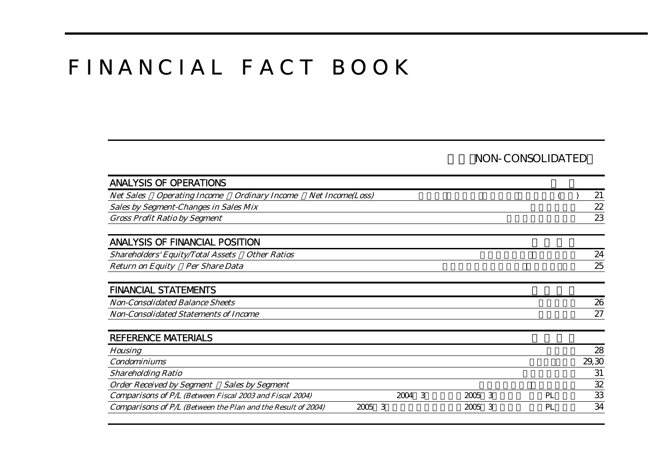# F I N A N C I A L F A C T B O O K

#### NON-CONSOLIDATED

| <b>ANALYSIS OF OPERATIONS</b>                                         |                         |        |        |    |       |
|-----------------------------------------------------------------------|-------------------------|--------|--------|----|-------|
| <b>Net Sales</b><br><b>Operating Income</b><br><b>Ordinary Income</b> | <b>Net Income(Loss)</b> |        |        |    | 21    |
| Sales by Segment-Changes in Sales Mix                                 |                         |        |        |    | 22    |
| <b>Gross Profit Ratio by Segment</b>                                  |                         |        |        |    | 23    |
|                                                                       |                         |        |        |    |       |
| <b>ANALYSIS OF FINANCIAL POSITION</b>                                 |                         |        |        |    |       |
| <b>Other Ratios</b><br><b>Shareholders' Equity/Total Assets</b>       |                         |        |        |    | 24    |
| <b>Return on Equity</b><br><b>Per Share Data</b>                      |                         |        |        |    | 25    |
|                                                                       |                         |        |        |    |       |
| <b>FINANCIAL STATEMENTS</b>                                           |                         |        |        |    |       |
| <b>Non-Consolidated Balance Sheets</b>                                |                         |        |        |    | 26    |
| <b>Non-Consolidated Statements of Income</b>                          |                         |        |        |    | 27    |
|                                                                       |                         |        |        |    |       |
| <b>REFERENCE MATERIALS</b>                                            |                         |        |        |    |       |
| <b>Housing</b>                                                        |                         |        |        |    | 28    |
| <b>Condominiums</b>                                                   |                         |        |        |    | 29,30 |
| <b>Shareholding Ratio</b>                                             |                         |        |        |    | 31    |
| <b>Order Received by Segment</b><br><b>Sales by Segment</b>           |                         |        |        |    | 32    |
| Comparisons of P/L (Between Fiscal 2003 and Fiscal 2004)              |                         | 2004 3 | 2005 3 | PL | 33    |
| Comparisons of P/L (Between the Plan and the Result of 2004)          | 3<br>2005               |        | 2005 3 | PL | 34    |
|                                                                       |                         |        |        |    |       |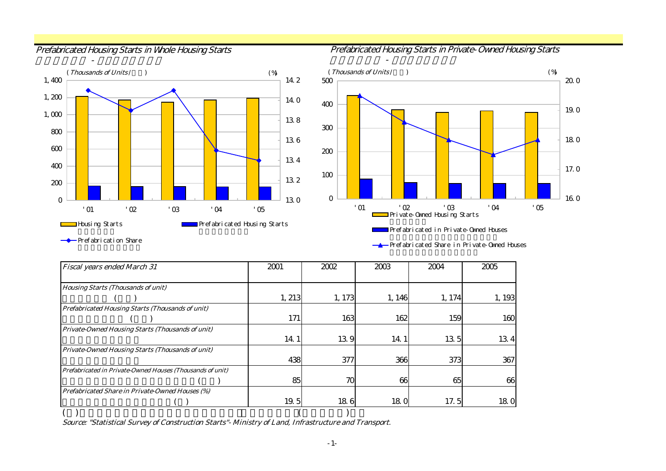住宅着工戸数 - プレハブ着工戸数

Prefabricated Housing Starts in Whole Housing Starts **Prefabricated Housing Starts in Private-Owned Housing Starts** 





Prefabrication Share

Prefabricated Share in Private-Owned Houses

| <b>Fiscal years ended March 31</b>                        | 2001   | 2002   | 2003       | 2004   | 2005   |
|-----------------------------------------------------------|--------|--------|------------|--------|--------|
|                                                           |        |        |            |        |        |
| <b>Housing Starts (Thousands of unit)</b>                 |        |        |            |        |        |
|                                                           | 1, 213 | 1, 173 | 1, 146     | 1, 174 | 1, 193 |
| Prefabricated Housing Starts (Thousands of unit)          |        |        |            |        |        |
|                                                           | 171    | 163    | 162        | 159    | 160    |
| Private-Owned Housing Starts (Thousands of unit)          |        |        |            |        |        |
|                                                           | 14.1   | 139    | 14 1       | 135    | 134    |
| Private-Owned Housing Starts (Thousands of unit)          |        |        |            |        |        |
|                                                           | 438    | 377    | 366        | 373    | 367    |
| Prefabricated in Private-Owned Houses (Thousands of unit) |        |        |            |        |        |
|                                                           | 85     | 70     | 66         | 65     | 66     |
| Prefabricated Share in Private-Owned Houses (%)           |        |        |            |        |        |
|                                                           | 19.5   | 186    | <b>180</b> | 17.5   | 180    |
|                                                           |        |        |            |        |        |

Source: "Statistical Survey of Construction Starts"- Ministry of Land, Infrastructure and Transport.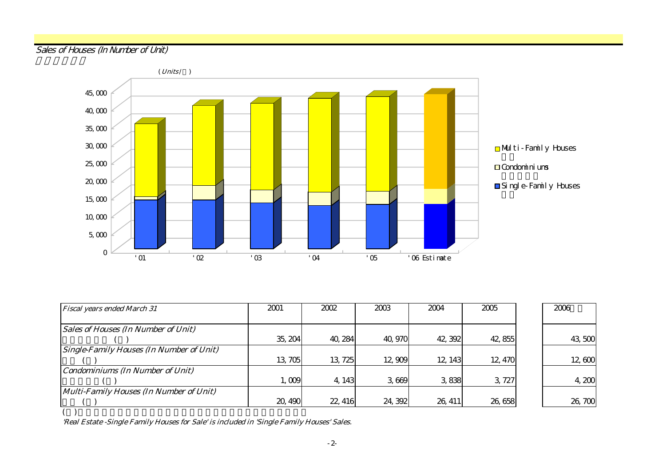#### Sales of Houses (In Number of Unit)



| <b>Fiscal years ended March 31</b>              | 2001    | 2002    | 2003    | 2004    | 2005    | 2006   |
|-------------------------------------------------|---------|---------|---------|---------|---------|--------|
|                                                 |         |         |         |         |         |        |
| <b>Sales of Houses (In Number of Unit)</b>      |         |         |         |         |         |        |
|                                                 | 35, 204 | 40, 284 | 40, 970 | 42, 392 | 42,855  | 43,500 |
| <b>Single-Family Houses (In Number of Unit)</b> |         |         |         |         |         |        |
|                                                 | 13,705  | 13, 725 | 12,909  | 12, 143 | 12, 470 | 12,600 |
| <b>Condominiums (In Number of Unit)</b>         |         |         |         |         |         |        |
|                                                 | 1,009   | 4, 143  | 3669    | 3.838   | 3 727   | 4,200  |
| Multi-Family Houses (In Number of Unit)         |         |         |         |         |         |        |
|                                                 | 20, 490 | 22, 416 | 24, 392 | 26, 411 | 26,658  | 26,700 |

'Real Estate -Single Family Houses for Sale' is included in 'Single Family Houses' Sales.

( )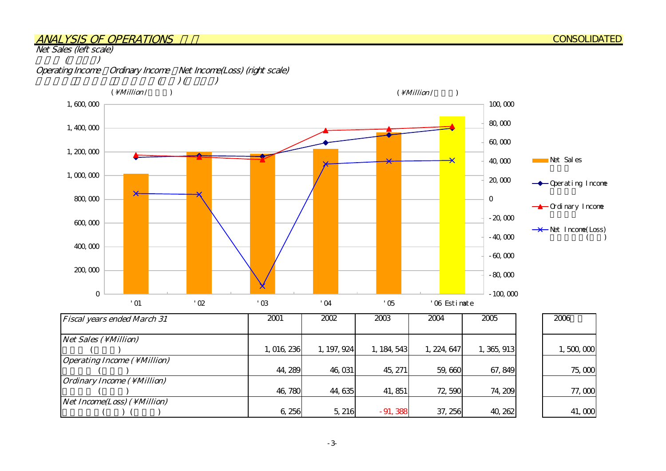#### ANALYSIS OF OPERATIONS

Net Sales (left scale)

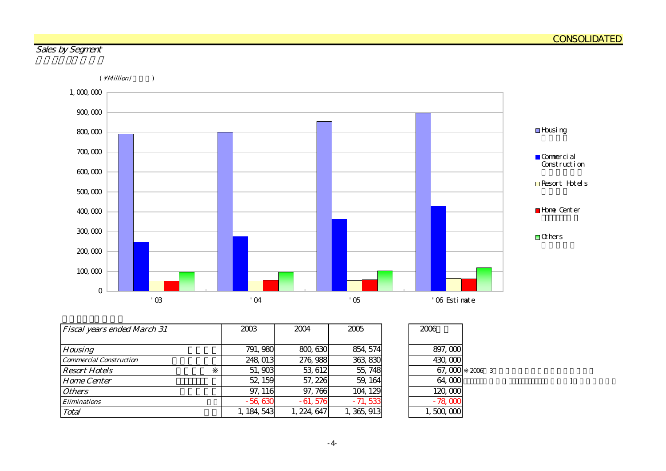-4-





| <b>Fiscal years ended March 31</b> | 2003        | 2004        | 2005       | 2006      |        |  |  |
|------------------------------------|-------------|-------------|------------|-----------|--------|--|--|
|                                    |             |             |            |           |        |  |  |
| <b>Housing</b>                     | 791, 980    | 800, 630    | 854, 574   | 897,000   |        |  |  |
| Commercial Construction            | 248, 013    | 276, 988    | 363,830    | 430,000   |        |  |  |
| <b>Resort Hotels</b>               | 51,903      | 53, 612     | 55, 748    | 67,000    | 2006 3 |  |  |
| <b>Home Center</b>                 | 52, 159     | 57, 226     | 59, 164    | 64,000    |        |  |  |
| <i><b>Others</b></i>               | 97, 116     | 97, 766     | 104, 129   | 120,000   |        |  |  |
| <b>Eliminations</b>                | $-56,630$   | $-61,576$   | $-71,533$  | $-78,000$ |        |  |  |
| Total                              | 1, 184, 543 | I, 224, 647 | , 365, 913 | 1,500,000 |        |  |  |

| 897,000   |     |
|-----------|-----|
| 430,000   |     |
| 67,000    | 200 |
| 64,000    |     |
| 120,000   |     |
| $-78000$  |     |
| 1,500,000 |     |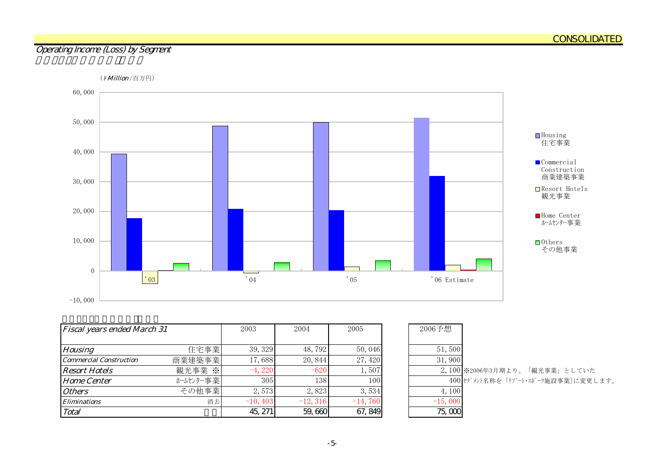#### Operating Income (Loss) by Segment



| <b>Fiscal years ended March 31</b> |           | 2003       | 2004       | 2005      | 2006予想    |                                    |
|------------------------------------|-----------|------------|------------|-----------|-----------|------------------------------------|
|                                    |           |            |            |           |           |                                    |
| <b>Housing</b>                     | 住宅事業      | 39, 329    | 48,792     | 50,046    | 51,500    |                                    |
| <b>Commercial Construction</b>     | 商業建築事業    | 17,688     | 20,844     | 27,420    | 31,900    |                                    |
| <b>Resort Hotels</b>               | 観光事業 ※    | $-4,220$   | $-620$     | 1,507     |           | 2,100 ※2006年3月期より、「観光事業」としていた      |
| <b>Home Center</b>                 | ホームセンター事業 | 305        | 138        | 100       |           | 400 セグメント名称を「リゾート・スポーツ施設事業]に変更します。 |
| <b>Others</b>                      | その他事業     | 2,573      | 2,823      | 3,534     | 4, 100    |                                    |
| <b>Eliminations</b>                | 消去        | $-10, 403$ | $-12, 316$ | $-14,760$ | $-15,000$ |                                    |
| Total                              |           | 45, 271    | 59,660     | 67, 849   | 75,000    |                                    |

| 2006予想    |                                    |
|-----------|------------------------------------|
|           |                                    |
| 51,500    |                                    |
| 31,900    |                                    |
|           | 2,100 ※2006年3月期より、「観光事業」としていた      |
|           | 400 セグメント名称を「リゾート・スポーツ施設事業]に変更します。 |
| 4,100     |                                    |
| $-15,000$ |                                    |
|           |                                    |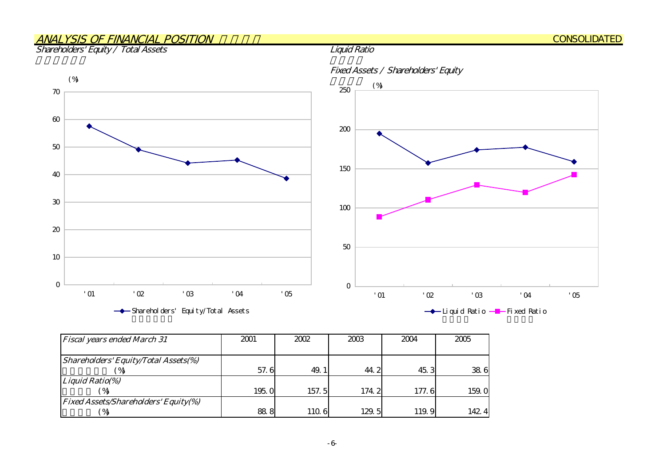## ANALYSIS OF FINANCIAL POSITION

Shareholders' Equity / Total Assets



| <b>Fiscal years ended March 31</b>          | 2001  | 2002  | 2003  | 2004  | 2005  |  |
|---------------------------------------------|-------|-------|-------|-------|-------|--|
|                                             |       |       |       |       |       |  |
| <b>Shareholders' Equity/Total Assets(%)</b> |       |       |       |       |       |  |
| $^{\prime}$ %                               | 57.6  | 49.   | 44.2  | 45.3  | 38.6  |  |
| Liquid Ratio(%)                             |       |       |       |       |       |  |
|                                             | 195.0 | 157.5 | 174.2 | 177.6 | 159.0 |  |
| <b>Fixed Assets/Shareholders' Equity(%)</b> |       |       |       |       |       |  |
|                                             | 88.8  | 110.6 | 129.5 | 119.9 | 142.4 |  |

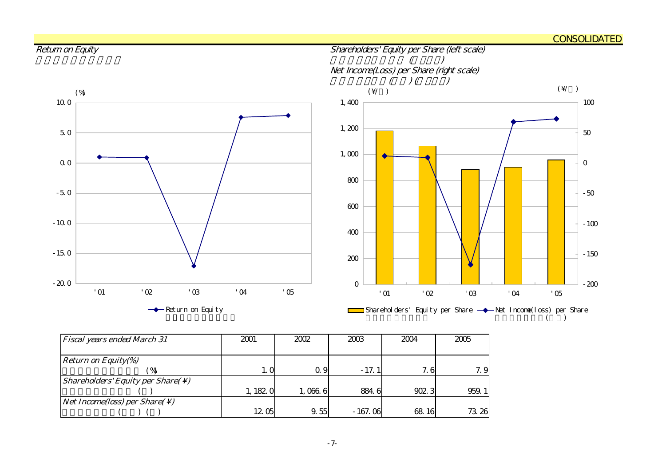#### CONSOLIDATED



| <b>Fiscal years ended March 31</b>                            | 2001     | 2002    | 2003      | 2004  | 2005  |
|---------------------------------------------------------------|----------|---------|-----------|-------|-------|
|                                                               |          |         |           |       |       |
| <b>Return on Equity(%)</b>                                    |          |         |           |       |       |
| $\%$                                                          | 1. 0     | 0.9     | $-17.1$   | 7.6   | 7.9   |
| <i>Shareholders' Equity per Share(<math>\setminus</math>)</i> |          |         |           |       |       |
|                                                               | 1, 182 0 | 1,066 6 | 884.6     | 902.3 | 959.1 |
| <i>Net Income(loss) per Share(<math>\setminus</math>)</i>     |          |         |           |       |       |
|                                                               | 12.05    | 9.55    | $-167.06$ | 68.16 | 73 26 |

#### -7-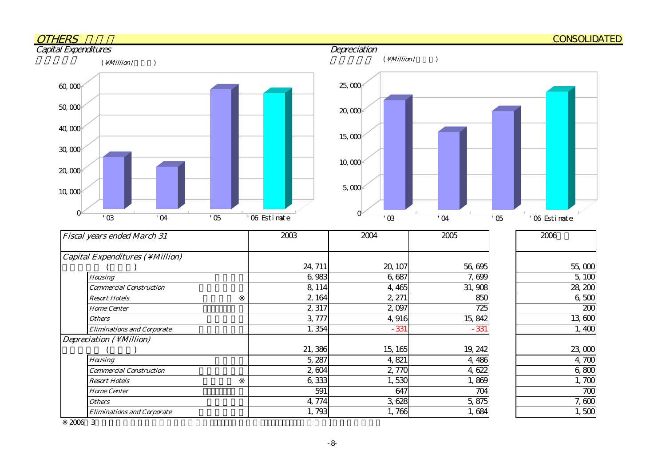

※2006年3

Resort Hotels Home Center**Others** 

Eliminations and Corporate

 $3$ 

5914,774 1,793

6,333

7007,600  $1,500$ 

 $1,700$ 

1,869 7045,875

1,766 1,684

3,628 6471,530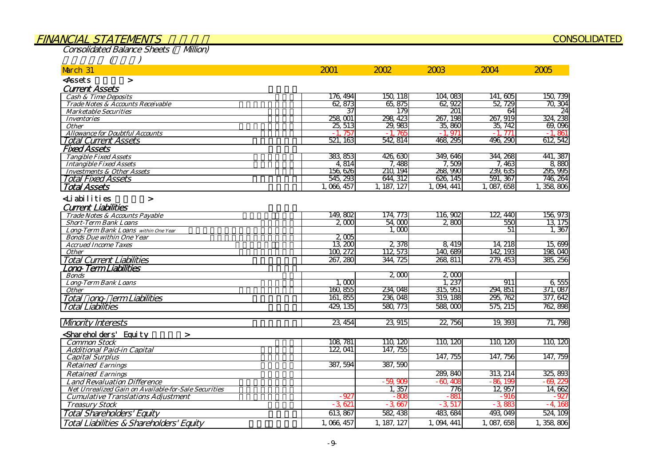#### FINANCIAL STATEMENTS

Consolidated Balance Sheets ( Million)

|  |  | í |
|--|--|---|
|  |  |   |

| March 31                                                       | 2001             | 2002        | 2003        | 2004        | 2005      |
|----------------------------------------------------------------|------------------|-------------|-------------|-------------|-----------|
| <assets<br><math>\geq</math></assets<br>                       |                  |             |             |             |           |
| <b>Current Assets</b>                                          |                  |             |             |             |           |
| <b>Cash &amp; Time Deposits</b>                                | 176, 494         | 150, 118    | 104,083     | 141,605     | 150.739   |
| Trade Notes & Accounts Receivable                              | 62,873           | 65, 875     | 62,922      | 52, 729     | 70, 304   |
| <b>Marketable Securities</b>                                   | 37               | 179         | 201         | 64          | 24        |
| <b>Inventories</b>                                             | 258, 001         | 298, 423    | 267, 198    | 267, 919    | 324, 238  |
| <b>Other</b>                                                   | 25, 513          | 29,983      | 35,860      | 35, 742     | 69.096    |
| <b>Allowance for Doubtful Accounts</b>                         | 757              | 765         | $-1.971$    | $-1$<br>771 | $-1,861$  |
| Total Current Assets                                           | 521, 163         | 542, 814    | 468, 295    | 496, 290    | 612, 542  |
| <b>Fixed Assets</b>                                            |                  |             |             |             |           |
| <b>Tangible Fixed Assets</b>                                   | 383, 853         | 426,630     | 349, 646    | 344, 268    | 441, 387  |
| <b>Intangible Fixed Assets</b>                                 | 4,814            | 7,488       | 7,509       | 7,463       | 8,880     |
| <b>Investments &amp; Other Assets</b>                          | 156,626          | 210, 194    | 268, 990    | 239, 635    | 295, 995  |
| Total Fixed Assets                                             | 545, 293         | 644, 312    | 626, 145    | 591, 367    | 746, 264  |
| <b>Total Assets</b>                                            | 1,066,457        | 1, 187, 127 | 1, 094, 441 | 1,087,658   | 1,358,806 |
| Liabilities<br>$\geq$                                          |                  |             |             |             |           |
| <b>Current Liabilities</b>                                     |                  |             |             |             |           |
| Trade Notes & Accounts Payable                                 | 149,802          | 174, 773    | 116,902     | 122, 440    | 156, 973  |
| <b>Short-Term Bank Loans</b>                                   | $2 \text{ } 000$ | 54,000      | 2800        | 550         | 13 175    |
| Long-Term Bank Loans within One Year                           |                  | 1.000       |             | 51          | 1,367     |
| <b>Bonds Due within One Year</b>                               | 2,005            |             |             |             |           |
| <b>Accrued Income Taxes</b>                                    | 13,200           | 2,378       | 8,419       | 14, 218     | 15,699    |
| <b>Other</b>                                                   | 100, 272         | 112 573     | 140,689     | 142, 193    | 198 040   |
| <b>Total Current Liabilities</b>                               | 267, 280         | 344, 725    | 268, 811    | 279, 453    | 385, 256  |
| ong-Term Liabilities.                                          |                  |             |             |             |           |
| <b>Bonds</b>                                                   |                  | 2000        | 2000        |             |           |
| <b>Long-Term Bank Loans</b>                                    | 1,000            |             | 1,237       | 911         | 6,555     |
| <i><b>Other</b></i>                                            | 160, 855         | 234, 048    | 315, 951    | 294, 851    | 371,087   |
| Total ong erm Liabilities                                      | 161, 855         | 236, 048    | 319, 188    | 295, 762    | 377, 642  |
| <b>Total Liabilities</b>                                       | 429, 135         | 580, 773    | 588,000     | 575, 215    | 762, 898  |
| <b>Mnority Interests</b>                                       | 23, 454          | 23,915      | 22, 756     | 19, 393     | 71, 798   |
| Sharehol ders' Equity<br>$\geq$                                |                  |             |             |             |           |
| <b>Common Stock</b>                                            | 108 781          | 110, 120    | 110, 120    | 110, 120    | 110, 120  |
| <b>Additional Paid-in Capital</b>                              | 122, 041         | 147, 755    |             |             |           |
| <b>Capital Surplus</b>                                         |                  |             | 147, 755    | 147, 756    | 147, 759  |
| <b>Retained Earnings</b>                                       | 387, 594         | 387, 590    |             |             |           |
|                                                                |                  |             | 289, 840    | 313 214     | 325, 893  |
| <b>Retained Earnings</b><br><b>Land Revaluation Difference</b> |                  | $-59.909$   | $-60.405$   | $-86,199$   | $-69.22$  |
| <b>Net Unrealized Gain on Available-for-Sale Securities</b>    |                  | 1,357       | 776         | 12,957      | 14,662    |
| <b>Cumulative Translations Adjustment</b>                      | $-92$            | $-805$      | $-881$      | - 916       | - 927     |
| <b>Treasury Stock</b>                                          | $-3,621$         | $-3,667$    | $-3,517$    | $-3.883$    | $-4,168$  |
|                                                                | 613, 867         | 582, 438    | 483, 684    | 493, 049    | 524, 109  |
| Total Shareholders' Equity                                     |                  |             |             |             |           |
| Total Liabilities & Shareholders' Equity                       | 1,066,457        | 1, 187, 127 | 1, 094, 441 | 1,087,658   | 1,358,806 |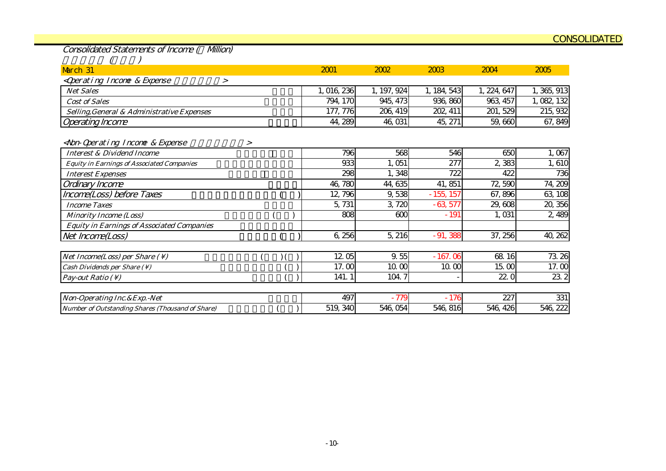Consolidated Statements of Income ( Million)

| March 31                                                                                                                                |        | 2001       | 2002        | 2003        | 2004        | 2005        |
|-----------------------------------------------------------------------------------------------------------------------------------------|--------|------------|-------------|-------------|-------------|-------------|
| <qperating &="" expense<br="" income=""><math>\geq</math></qperating>                                                                   |        |            |             |             |             |             |
| <b>Net Sales</b>                                                                                                                        |        | , 016, 236 | 1, 197, 924 | 1, 184, 543 | 1, 224, 647 | 1, 365, 913 |
| <b>Cost of Sales</b>                                                                                                                    |        | 794, 170   | 945, 473    | 936, 860    | 963 457     | 1, 082, 132 |
| Selling, General & Administrative Expenses                                                                                              |        | 177, 776   | 206, 419    | 202, 411    | 201, 529    | 215, 932    |
| <b>Operating Income</b>                                                                                                                 |        | 44, 289    | 46, 031     | 45, 271     | 59,660      | 67, 849     |
| <non-qperating &="" expense<="" income="" td=""><td><math>\geq</math></td><td></td><td></td><td></td><td></td><td></td></non-qperating> | $\geq$ |            |             |             |             |             |
| <b>Interest &amp; Dividend Income</b>                                                                                                   |        | 796        | 568         | 546         | 650         | 1,067       |
| <b>Equity in Earnings of Associated Companies</b>                                                                                       |        | 933        | 1,051       | 277         | 2,383       | 1,610       |
| <b>Interest Expenses</b>                                                                                                                |        | 298        | 1,348       | 722         | 422         | 736         |
| Ordinary Income                                                                                                                         |        | 46,780     | 44, 635     | 41,851      | 72,590      | 74, 209     |
| Income(Loss) before Taxes                                                                                                               |        | 12, 796    | 9,538       | $-155, 157$ | 67,896      | 63, 108     |
| <b>Income Taxes</b>                                                                                                                     |        | 5,731      | 3,720       | $-63,577$   | 29,608      | 20,356      |
| <b>Minority Income (Loss)</b>                                                                                                           |        | 808        | 600         | $-191$      | 1,031       | 2,489       |
| <b>Equity in Earnings of Associated Companies</b>                                                                                       |        |            |             |             |             |             |
| Net Income(Loss)                                                                                                                        |        | 6,256      | 5, 216      | $-91,388$   | 37, 256     | 40, 262     |
|                                                                                                                                         |        |            |             |             |             |             |
| Net Income(Loss) per Share $( \setminus )$                                                                                              |        | 1205       | 9.55        | $-167.06$   | 68 16       | 73.26       |
| Cash Dividends per Share (\)                                                                                                            |        | 17.00      | 10 CO       | 10.00       | 15.00       | 17.00       |
| Pay-out Ratio $( \setminus )$                                                                                                           |        | 141.1      | 104.7       |             | 22.0        | 23.2        |
| Non-Operating Inc. & Exp. - Net                                                                                                         |        | 497        | $-779$      | $-176$      | 227         | 331         |
| <b>Number of Outstanding Shares (Thousand of Share)</b>                                                                                 |        | 519, 340   | 546,054     | 546, 816    | 546, 426    | 546, 222    |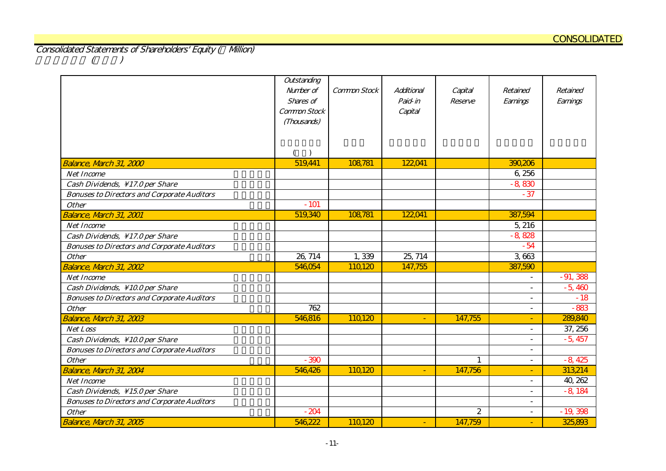Consolidated Statements of Shareholders' Equity ( Million)  $(1)$ 

|                                                    | Outstanding<br>Number of<br>Shares of<br>Common Stock<br>(Thousands) | Common Stock | Additional<br>Paid-in<br>Capital | Capital<br>Reserve | Retained<br>Earnings     | Retained<br>Earnings |
|----------------------------------------------------|----------------------------------------------------------------------|--------------|----------------------------------|--------------------|--------------------------|----------------------|
|                                                    |                                                                      |              |                                  |                    |                          |                      |
| Balance, March 31, 2000                            | 519,441                                                              | 108,781      | 122041                           |                    | 390,206                  |                      |
| <b>Net Income</b>                                  |                                                                      |              |                                  |                    | 6,256                    |                      |
| Cash Dividends, \17.0 per Share                    |                                                                      |              |                                  |                    | $-8,830$                 |                      |
| <b>Bonuses to Directors and Corporate Auditors</b> |                                                                      |              |                                  |                    | $-37$                    |                      |
| <b>Other</b>                                       | $-101$                                                               |              |                                  |                    |                          |                      |
| Balance, March 31, 2001                            | 519,340                                                              | 108,781      | 122,041                          |                    | 387,594                  |                      |
| <b>Net Income</b>                                  |                                                                      |              |                                  |                    | 5,216                    |                      |
| Cash Dividends, \17.0 per Share                    |                                                                      |              |                                  |                    | $-8,828$                 |                      |
| <b>Bonuses to Directors and Corporate Auditors</b> |                                                                      |              |                                  |                    | $-54$                    |                      |
| <b>Other</b>                                       | 26, 714                                                              | 1,339        | 25, 714                          |                    | 3,663                    |                      |
| Balance, March 31, 2002                            | 546,054                                                              | 110120       | 147,755                          |                    | 387,590                  |                      |
| <b>Net Income</b>                                  |                                                                      |              |                                  |                    | $\overline{\phantom{0}}$ | $-91,388$            |
| Cash Dividends, \10.0 per Share                    |                                                                      |              |                                  |                    | $\sim$                   | $-5,460$             |
| <b>Bonuses to Directors and Corporate Auditors</b> |                                                                      |              |                                  |                    | $\overline{\phantom{a}}$ | $-18$                |
| <b>Other</b>                                       | 762                                                                  |              |                                  |                    | $\blacksquare$           | $-883$               |
| Balance, March 31, 2003                            | 546,816                                                              | 110120       | $\omega$                         | 147,755            | $\blacksquare$           | 289,840              |
| <b>Net Loss</b>                                    |                                                                      |              |                                  |                    | $\overline{\phantom{a}}$ | 37, 256              |
| Cash Dividends, \10.0 per Share                    |                                                                      |              |                                  |                    | $\overline{a}$           | $-5,457$             |
| <b>Bonuses to Directors and Corporate Auditors</b> |                                                                      |              |                                  |                    | $\overline{\phantom{a}}$ |                      |
| <b>Other</b>                                       | $-390$                                                               |              |                                  | $\mathbf{1}$       | $\overline{\phantom{a}}$ | $-8,425$             |
| Balance, March 31, 2004                            | 546,426                                                              | 110120       | $\omega$                         | 147,756            | ÷                        | 313,214              |
| <b>Net Income</b>                                  |                                                                      |              |                                  |                    | $\sim$                   | 40, 262              |
| Cash Dividends, \15.0 per Share                    |                                                                      |              |                                  |                    | $\overline{a}$           | $-8,184$             |
| <b>Bonuses to Directors and Corporate Auditors</b> |                                                                      |              |                                  |                    | $\overline{\phantom{a}}$ |                      |
| <b>Other</b>                                       | $-204$                                                               |              |                                  | $\overline{c}$     | $\sim$                   | $-19,398$            |
| Balance, March 31, 2005                            | 546,222                                                              | 110,120      |                                  | 147,759            |                          | 325,893              |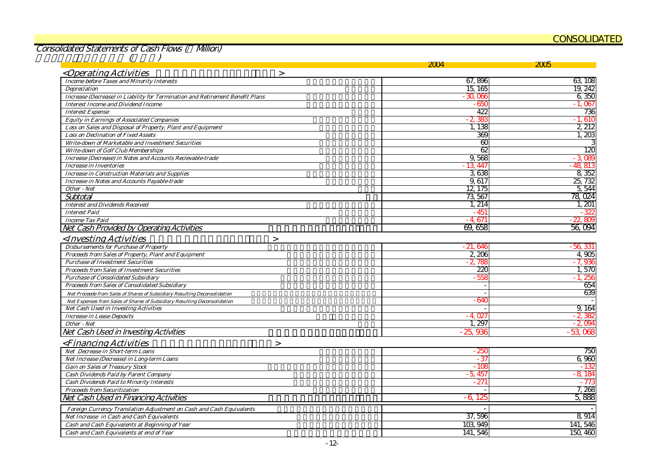#### CONSOLIDATED

Consolidated Statements of Cash Flows ( Million)

|                                                                               | 2T Y          | 2005      |
|-------------------------------------------------------------------------------|---------------|-----------|
| <operating activities<br=""><math>\geq</math></operating>                     |               |           |
| <b>Income before Taxes and Minority Interests</b>                             | 67,896        | 63 108    |
| Depreciation                                                                  | 15, 165       | 19, 242   |
| Increase (Decrease) in Liability for Termination and Retirement Benefit Plans | $-30,000$     | 6,350     |
| <b>Interest Income and Dividend Income</b>                                    | - 650         | $-1.067$  |
| <b>Interest Expense</b>                                                       | 422           | 736       |
| <b>Equity in Earnings of Associated Companies</b>                             | $-2,38$       | $-1.610$  |
| Loss on Sales and Disposal of Property, Plant and Equipment                   | 1,138         | 2, 212    |
| <b>Loss on Declination of Fixed Assets</b>                                    | 369           | 1,203     |
| Write-down of Marketable and Investment Securities                            | $\alpha$      |           |
| <b>Write-down of Golf Club Memberships</b>                                    | 62            | 120       |
| Increase (Decrease) in Notes and Accounts Recievable-trade                    | 9,568         | $-3089$   |
| <b>Increase in Inventories</b>                                                | $-13.447$     | $-48.813$ |
| <b>Increase in Construction Materials and Supplies</b>                        | 3638          | 8,352     |
| Increase in Notes and Accounts Payable-trade                                  | 9,617         | 25, 732   |
| Other - Net                                                                   | 12, 175       | 5,544     |
| Subtotal                                                                      | 73,567        | 78,024    |
| <b>Interest and Dividends Received</b>                                        | 1, 214        | 1, 201    |
| <b>Interest Paid</b>                                                          | $-451$        | - 32      |
| <b>Income Tax Paid</b>                                                        | - 4.671       | 22,809    |
| Net Cash Provided by Operating Activities                                     | 69,658        | 56,094    |
| <investing activities<br=""><math>\geq</math></investing>                     |               |           |
| <b>Disbursements for Purchase of Property</b>                                 | - 21, 646     | - 56, 331 |
| Proceeds from Sales of Property, Plant and Equipment                          | 2,206         | 4.905     |
| <b>Purchase of Investment Securities</b>                                      | $-2,788$      | $-7,936$  |
| <b>Proceeds from Sales of Investment Securities</b>                           | 220           | 1,570     |
| <b>Purchase of Consolidated Subsidiary</b>                                    | - 558         | - 1. 256  |
| Proceeds from Sales of Consolidated Subsidiary                                |               | 654       |
| Net Proceede from Sales of Shares of Subsidiary Resulting Deconsolidation     |               | 639       |
| Net Expenses from Sales of Shares of Subsidiary Resulting Deconsolidation     | - 640         |           |
| Net Cash Used in Investing Activities                                         |               | 9,164     |
| <b>Increase in Lease Deposits</b>                                             | $-4.027$      | $-2,38$   |
| Other - Net                                                                   | 1,297         | $-2.094$  |
| Net Cash Used in Investing Activities                                         | 936<br>- 25.  | $-53,068$ |
| <financing activities<br=""><math>\geq</math></financing>                     |               |           |
| Net Decrease in Short-term Loans                                              | - 250         | 750       |
| Net Increase (Decrease) in Long-term Loans                                    | $-37$         | 6,960     |
| <b>Gain on Sales of Treasury Stock</b>                                        | $-105$        | - 13      |
| Cash Dividends Paid by Parent Company                                         | $-5,45$       | $-8.18$   |
| <b>Cash Dividends Paid to Minority Interests</b>                              | $-27^{\circ}$ | - 77.     |
| <b>Proceeds from Securitization</b>                                           |               | 7,268     |
| Net Cash Used in Financing Activities                                         | -6.12         | 5,888     |
| Foreign Currency Translation Adjustment on Cash and Cash Equivalents          |               |           |
| Net Increase in Cash and Cash Equivalents                                     | 37,596        | 8 9 14    |
| Cash and Cash Equivalents at Beginning of Year                                | 103,949       | 141, 546  |
| Cash and Cash Equivalents at end of Year                                      | 141, 546      | 150, 460  |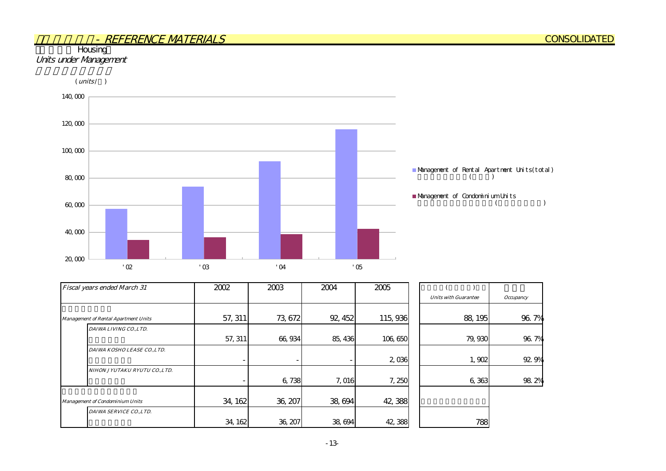#### **Housing** Units under Management



| Fiscal years ended March 31                 | 2002    | 2003    | 2004    | 2005    |                             |                  |
|---------------------------------------------|---------|---------|---------|---------|-----------------------------|------------------|
|                                             |         |         |         |         | <b>Units with Guarantee</b> | <b>Occupancy</b> |
|                                             |         |         |         |         |                             |                  |
| <b>Management of Rental Apartment Units</b> | 57, 311 | 73,672  | 92, 452 | 115,936 | 88, 195                     | 96.7%            |
| DAIWA LIVING CO.,LTD.                       |         |         |         |         |                             |                  |
|                                             | 57, 311 | 66,934  | 85, 436 | 106,650 | 79,930                      | 96.7%            |
| DAIWA KOSHO LEASE CO.,LTD.                  |         |         |         |         |                             |                  |
|                                             | ۰.      |         |         | 2,036   | 1,902                       | 92.9%            |
| NIHON JYUTAKU RYUTU CO.,LTD.                |         |         |         |         |                             |                  |
|                                             |         | 6,738   | 7,016   | 7,250   | 6,363                       | 98.2%            |
| <b>Management of Condominium Units</b>      | 34, 162 | 36, 207 | 38,694  | 42,388  |                             |                  |
| DAIWA SERVICE CO., LTD.                     |         |         |         |         |                             |                  |
|                                             | 34, 162 | 36, 207 | 38,694  | 42,388  | 788                         |                  |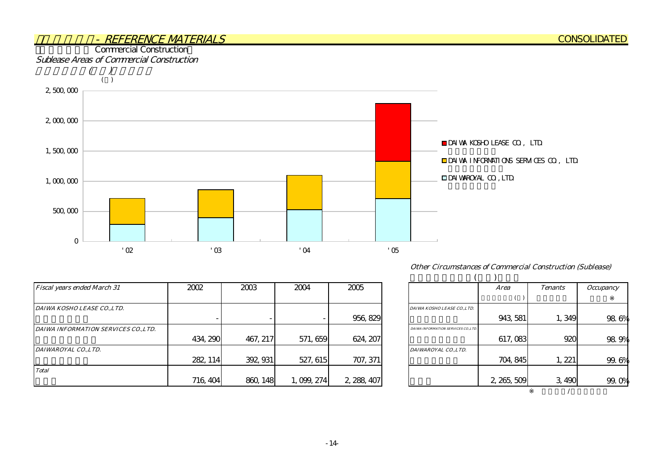

| <b>Fiscal years ended March 31</b> | 2002     | 2003     | 2004      | 2005        |                                      | <i>Area</i> | <b>Tenants</b> | <i><b>Occupancy</b></i> |
|------------------------------------|----------|----------|-----------|-------------|--------------------------------------|-------------|----------------|-------------------------|
|                                    |          |          |           |             |                                      |             |                |                         |
| DAIWA KOSHO LEASE CO.,LTD.         |          |          |           |             | DAIWA KOSHO LEASE CO.,LTD.           |             |                |                         |
|                                    |          |          |           | 956, 829    |                                      | 943, 581    | 1,349          | 98.                     |
| DAIWA INFORMATION SERVICES COLTD.  |          |          |           |             | DAIWA INFORMATION SERVICES CO., LTD. |             |                |                         |
|                                    | 434, 290 | 467, 217 | 571, 659  | 624, 207    |                                      | 617,083     | 920            | 98.                     |
| DAIWAROYAL CO., LTD.               |          |          |           |             | DAIWAROYAL CO., LTD.                 |             |                |                         |
|                                    | 282, 114 | 392, 931 | 527, 615  | 707, 371    |                                      | 704, 845    | , 221          | 99.                     |
| <b>Total</b>                       |          |          |           |             |                                      |             |                |                         |
|                                    | 716, 404 | 860, 148 | 1,099,274 | 2, 288, 407 |                                      | 2, 265, 509 | 3,490          | 99.                     |

| <b>Other Circumstances of Commercial Construction (Sublease)</b> |  |  |  |
|------------------------------------------------------------------|--|--|--|
|------------------------------------------------------------------|--|--|--|

|                                      | Area        | <b>Tenants</b> | <i><b>Occupancy</b></i> |
|--------------------------------------|-------------|----------------|-------------------------|
|                                      |             |                |                         |
| DAIWA KOSHO LEASE CO.,LTD.           |             |                |                         |
|                                      | 943, 581    | 1,349          | 98.6%                   |
| DAIWA INFORMATION SERVICES CO., LTD. |             |                |                         |
|                                      | 617,083     | 920            | 98.9%                   |
| DAIWAROYAL CO.,LTD.                  |             |                |                         |
|                                      | 704, 845    | 1, 221         | 99.6%                   |
|                                      |             |                |                         |
|                                      | 2, 265, 509 | 3,490          | 99.                     |
|                                      |             |                |                         |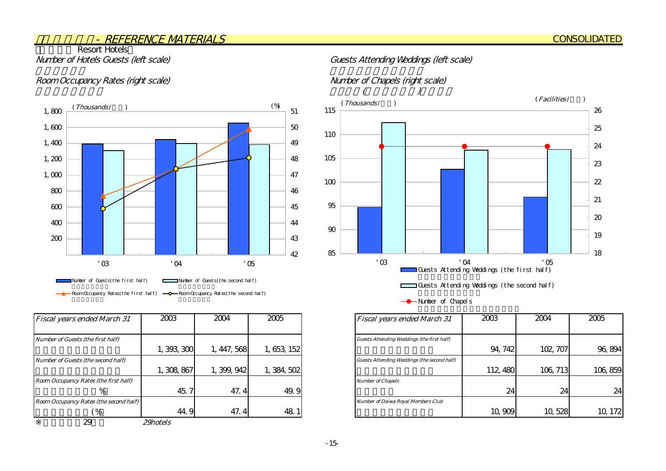## **Resort Hotels**

#### Room Occupancy Rates (right scale) Number of Chapels (right scale)



| <b>Fiscal years ended March 31</b>     | 2003        | 2004        | 2005        | <b>Fiscal years ended March 31</b>                |
|----------------------------------------|-------------|-------------|-------------|---------------------------------------------------|
| Number of Guests (the first half)      |             |             |             | <b>Guests Attending Weddings (the first half)</b> |
|                                        | 1,393,300   | 1, 447, 568 | 1, 653, 152 |                                                   |
| Number of Guests (the second half)     |             |             |             | Guests Attending Weddings (the second half)       |
|                                        | 1, 308, 867 | 1, 399, 942 | 1, 384, 502 |                                                   |
| Room Occupancy Rates (the first half)  |             |             |             | <b>Number of Chapels</b>                          |
| %                                      | 45.         | 47.4        | 49.9        |                                                   |
| Room Occupancy Rates (the second half) |             |             |             | <b>Number of Daiwa Royal Members Club</b>         |
| $\frac{9}{6}$                          | 44.9        | 47.4        | 48.1        |                                                   |
| 29                                     | 29hotels    |             |             |                                                   |

#### Number of Hotels Guests (left scale) Guests Attending Weddings (left scale)





-- Number of Chapels

| <b>Fiscal years ended March 31</b>          | 2003     | 2004     | 2005    |
|---------------------------------------------|----------|----------|---------|
|                                             |          |          |         |
| Guests Attending Weddings (the first half)  |          |          |         |
|                                             | 94, 742  | 102, 707 | 96, 894 |
| Guests Attending Weddings (the second half) |          |          |         |
|                                             | 112, 480 | 106, 713 | 106,859 |
| <b>Number of Chapels</b>                    |          |          |         |
|                                             | 24       | 24       | 24      |
| <b>Number of Daiwa Royal Members Club</b>   |          |          |         |
|                                             | 10,909   | 10, 528  |         |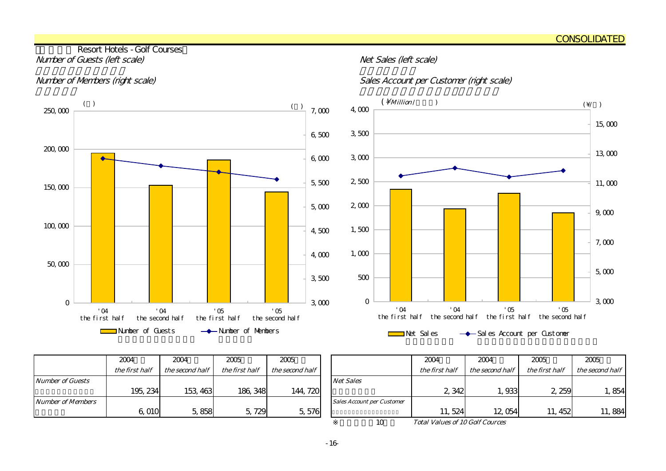#### Resort Hotels - Golf Courses Number of Guests (left scale) and the state of Guests (left scale)

#### Number of Members (right scale) Sales Account per Customer (right scale)



| $(\ )$                          |                  |                                   |                              |                                     |                                | $($ $)$<br>$7,000$ | $4,000$     | $(\ \backslash$ Million /       |                |            |                                                |            | $(\vee)$ |  |
|---------------------------------|------------------|-----------------------------------|------------------------------|-------------------------------------|--------------------------------|--------------------|-------------|---------------------------------|----------------|------------|------------------------------------------------|------------|----------|--|
|                                 |                  |                                   |                              |                                     |                                |                    |             |                                 |                |            |                                                |            | 15,000   |  |
|                                 |                  |                                   |                              |                                     |                                | 6,500              | $3,500\,$   |                                 |                |            |                                                |            |          |  |
|                                 |                  |                                   |                              |                                     |                                | 6,000              | $3000$      |                                 |                |            |                                                |            | 13,000   |  |
|                                 |                  |                                   |                              |                                     |                                | $5,500$            | $2,500$     |                                 |                |            |                                                |            | 11,000   |  |
|                                 |                  |                                   |                              |                                     |                                | 5,000              | $2,000$     |                                 |                |            |                                                |            | 9,000    |  |
|                                 |                  |                                   |                              |                                     |                                | 4,500              | $1,500$     |                                 |                |            |                                                |            | 7,000    |  |
|                                 |                  |                                   |                              |                                     |                                | 4,000              | 1,000       |                                 |                |            |                                                |            |          |  |
|                                 |                  |                                   |                              |                                     |                                | 3,500              | $500\,$     |                                 |                |            |                                                |            | $5,000$  |  |
|                                 |                  |                                   |                              |                                     |                                | $3000$             | $\mathbf 0$ |                                 |                |            |                                                |            | 3000     |  |
| $^{\prime}$ O4<br>he first half |                  | $^{\prime}$ O4<br>the second half | $\cdot$ 05<br>the first half |                                     | $\sqrt{05}$<br>the second half |                    |             | $^{\circ}$ O4<br>the first half | $^{\prime}$ O4 | $\cdot$ 05 | the second half the first half the second half | $\cdot$ 05 |          |  |
|                                 | Number of Guests |                                   |                              | $\longrightarrow$ Number of Members |                                |                    |             | Net Sales                       |                |            | -Sal es Account per Custoner                   |            |          |  |

|                         | 2004           | 2004            | 2005           | 2005            |                                   |
|-------------------------|----------------|-----------------|----------------|-----------------|-----------------------------------|
|                         | the first half | the second half | the first half | the second half |                                   |
| <b>Number of Guests</b> |                |                 |                |                 | <b>Net Sales</b>                  |
|                         | 195, 234       | 153, 463        | 186, 348       | 144, 720        |                                   |
| Number of Members       |                |                 |                |                 | <b>Sales Account per Customer</b> |
|                         | 6,010          | 5,858           | 5,729          | 5,576           |                                   |

| 2004           | 2004            | 2005           | 2005            |                                   | 2004                                   | 2004            | 2005           | 2005            |
|----------------|-----------------|----------------|-----------------|-----------------------------------|----------------------------------------|-----------------|----------------|-----------------|
| the first half | the second half | the first half | the second half |                                   | the first half                         | the second half | the first half | the second half |
|                |                 |                |                 | <b>Net Sales</b>                  |                                        |                 |                |                 |
| 195, 234       | 153, 463        | 186, 348       | 144, 720        |                                   | 2 3 4 2                                | 1,933           | 2,259          | , 854           |
|                |                 |                |                 | <b>Sales Account per Customer</b> |                                        |                 |                |                 |
| 6,010          | 5,858           | 5,729          | 5,576           |                                   | 11, 524                                | 12,054          | 452<br>11.     | 11,884          |
|                |                 |                |                 | 10                                | <b>Total Values of 10 Golf Cources</b> |                 |                |                 |

Total Values of 10 Golf Cources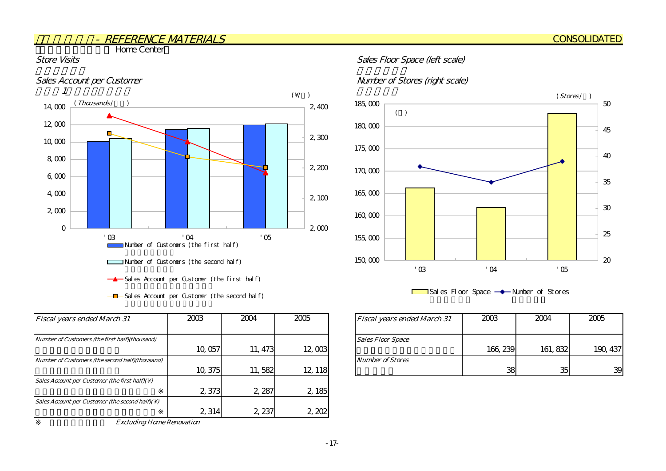**The Home Center** 



 $-\blacksquare$  Sales Account per Customer (the second half)

| <b>Fiscal years ended March 31</b>                          | 2003    | 2004    | 2005    | <b>Fiscal years ended March 31</b> |
|-------------------------------------------------------------|---------|---------|---------|------------------------------------|
| Number of Customers (the first half)(thousand)              |         |         |         | <b>Sales Floor Space</b>           |
|                                                             | 10,057  | 11, 473 | 12,003  |                                    |
| Number of Customers (the second half)(thousand)             |         |         |         | <b>Number of Stores</b>            |
|                                                             | 10, 375 | 11,582  | 12, 118 |                                    |
| Sales Account per Customer (the first half)( $\setminus$ )  |         |         |         |                                    |
|                                                             | 2 373   | 2, 287  | 2, 185  |                                    |
| Sales Account per Customer (the second half)( $\setminus$ ) |         |         |         |                                    |
|                                                             | 2,314   | 2, 237  | 2,202   |                                    |

Excluding Home Renovation

#### Store Visits Store Visits Sales Floor Space (left scale)

#### Sales Account per Customer Number of Stores (right scale)



 $\Box$ Sales Floor Space  $\rightarrow$  Number of Stores

| 2003    | 2004    | 2005    | <b>Fiscal years ended March 31</b> | 2003     | 2004     | 2005     |
|---------|---------|---------|------------------------------------|----------|----------|----------|
|         |         |         | <b>Sales Floor Space</b>           |          |          |          |
| 10,057  | 11, 473 | 12,003  |                                    | 166, 239 | 161, 832 | 190, 437 |
|         |         |         | <b>Number of Stores</b>            |          |          |          |
| 10, 375 | 582     | 12, 118 |                                    | 38       | 35       | 39       |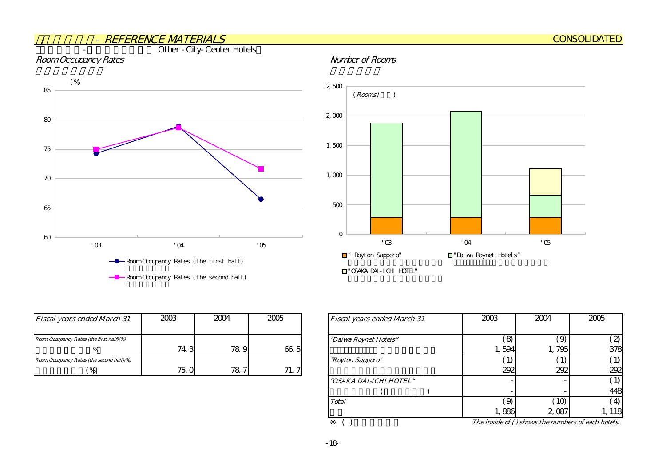#### - REFERENCE MATERIALSOther - City-Center Hotels

#### Room Occupancy Rates **Number of Rooms**



| $2,500$     |                                 |                |                                              |              |  |
|-------------|---------------------------------|----------------|----------------------------------------------|--------------|--|
|             | $(\mathit{Rooms}\,/\quad\quad)$ |                |                                              |              |  |
|             |                                 |                |                                              |              |  |
| $2,000$     |                                 |                |                                              |              |  |
|             |                                 |                |                                              |              |  |
| $1,500$     |                                 |                |                                              |              |  |
|             |                                 |                |                                              |              |  |
|             |                                 |                |                                              |              |  |
| $1,000$     |                                 |                |                                              |              |  |
|             |                                 |                |                                              |              |  |
|             |                                 |                |                                              |              |  |
| 500         |                                 |                |                                              |              |  |
|             |                                 |                |                                              |              |  |
| $\mathbf 0$ |                                 |                |                                              |              |  |
|             | $^\circ$ 03                     | $^{\prime}$ O4 |                                              | $^\prime$ 05 |  |
|             | ■" Royt on Sapporo"             |                | $\hfill\blacksquare$ "Dai va Roynet Hotel s" |              |  |
|             |                                 |                |                                              |              |  |

"OSAKA DAI-ICHI HOTEL"

| <b>Fiscal years ended March 31</b>        | 2003 | 2004 | 2005                | <b>Fiscal years ended March 31</b> |
|-------------------------------------------|------|------|---------------------|------------------------------------|
| Room Occupancy Rates (the first half)(%)  |      |      |                     | "Daiwa Roynet Hotels"              |
|                                           | 74.3 | 78.9 | 66.5                |                                    |
| Room Occupancy Rates (the second half)(%) |      |      |                     | <i>"Royton Sapporo"</i>            |
| $\%$                                      | 75.0 | 78.7 | 71<br>$\mathcal{I}$ |                                    |

|   | 2005 | <b>Fiscal years ended March 31</b> | 2003          | 2004         | 2005           |
|---|------|------------------------------------|---------------|--------------|----------------|
|   |      |                                    |               |              |                |
|   |      | "Daiwa Roynet Hotels"              | $\mathcal{S}$ | $\Theta$     | $\mathbf{z}$   |
| 9 | 66.5 |                                    | 1,594         | 1,795        | 378            |
|   |      | "Royton Sapporo"                   | 1)            | $\mathbf{1}$ |                |
| 7 | 71.7 |                                    | 292           | 292          | 292            |
|   |      | "OSAKA DAI-ICHI HOTEL"             |               |              |                |
|   |      |                                    |               |              | 448            |
|   |      | <b>Total</b>                       | (9)           | 10           | $\overline{4}$ |
|   |      |                                    | 1,886         | 2,087        | , 118          |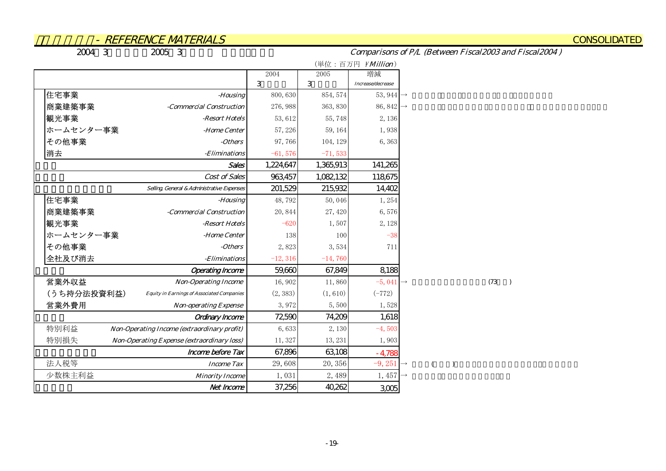**CONSOLIDATED** 

2004年3月期実績/2005年3月期実績 連結PL比較表

Comparisons of P/L (Between Fiscal2003 and Fiscal2004 )

|                                                                  |            |                   | (単位:百万円 ¥Million)     |
|------------------------------------------------------------------|------------|-------------------|-----------------------|
|                                                                  | 2004       | $200\overline{5}$ | 増減                    |
|                                                                  | 3          | 3                 | Increase/decrease     |
| 住宅事業<br>-Housing                                                 | 800,630    | 854, 574          | 53, 944 $\rightarrow$ |
| 商業建築事業<br>-Commercial Construction                               | 276, 988   | 363, 830          | 86, 842 $\rightarrow$ |
| 観光事業<br>-Resort Hotels                                           | 53,612     | 55,748            | 2,136                 |
| ホームセンター事業<br>-Home Center                                        | 57,226     | 59, 164           | 1,938                 |
| その他事業<br>-Others                                                 | 97,766     | 104, 129          | 6,363                 |
| 消去<br>-Eliminations                                              | $-61,576$  | $-71,533$         |                       |
| <b>Sales</b>                                                     | 1,224,647  | 1,365,913         | 141,265               |
| Cost of Sales                                                    | 963,457    | 1,082,132         | 118,675               |
| Selling General & Administrative Expenses                        | 201,529    | 215,932           | 14,402                |
| 住宅事業<br>-Housing                                                 | 48,792     | 50,046            | 1,254                 |
| 商業建築事業<br>-Commercial Construction                               | 20,844     | 27,420            | 6,576                 |
| 観光事業<br>-Resort Hotels                                           | $-620$     | 1,507             | 2, 128                |
| ホームセンター事業<br>-Home Center                                        | 138        | 100               | $-38$                 |
| その他事業<br>-Others                                                 | 2,823      | 3,534             | 711                   |
| 全社及び消去<br>-Eliminations                                          | $-12, 316$ | $-14,760$         |                       |
| <b>Operating Income</b>                                          | 59,660     | 67,849            | 8,188                 |
| 営業外収益<br><b>Non-Operating Income</b>                             | 16,902     | 11,860            | $-5,041 \rightarrow$  |
| (うち持分法投資利益)<br><b>Equity in Earnings of Associated Companies</b> | (2, 383)   | (1, 610)          | $(-772)$              |
| 営業外費用<br><b>Non-operating Expense</b>                            | 3,972      | 5,500             | 1,528                 |
| <b>Ordinary Income</b>                                           | 72590      | 74,209            | 1,618                 |
| 特別利益<br>Non-Operating Income (extraordinary profit)              | 6,633      | 2,130             | $-4,503$              |
| 特別損失<br>Non-Operating Expense (extraordinary loss)               | 11,327     | 13, 231           | 1,903                 |
| <b>Income before Tax</b>                                         | 67,896     | 63,108            | $-4,788$              |
| 法人税等<br><b>Income Tax</b>                                        | 29,608     | 20, 356           | $-9,251 \rightarrow$  |
| 少数株主利益<br><b>Minority Income</b>                                 | 1,031      | 2,489             | $1,457 \rightarrow$   |
| Net Income                                                       | 37,256     | 40,262            | 3,005                 |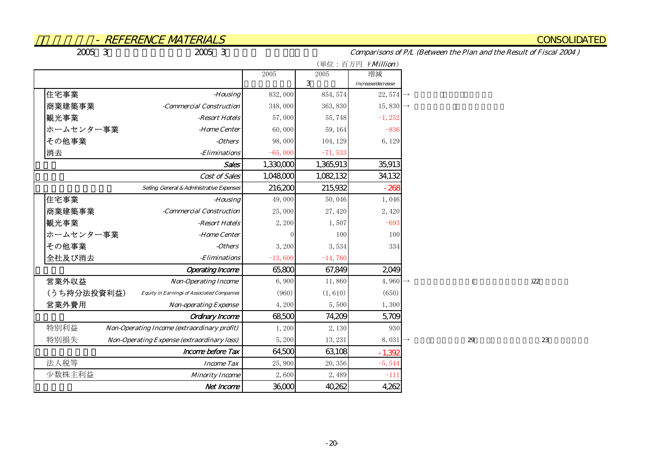**CONSOLIDATED** 

2005年3月期中間時修正計画/2005年3月期実績 連結PL比較表

Comparisons of P/L (Between the Plan and the Result of Fiscal 2004 )

|                                                                  |           |           | (単位:百万円 ¥Million)     |
|------------------------------------------------------------------|-----------|-----------|-----------------------|
|                                                                  | 2005      | 2005      | 増減                    |
| 住宅事業                                                             |           | 3         | Increase/decrease     |
| -Housing                                                         | 832,000   | 854, 574  | 22, 574 $\rightarrow$ |
| 商業建築事業<br>-Commercial Construction                               | 348,000   | 363, 830  | 15,830 $\rightarrow$  |
| 観光事業<br>-Resort Hotels                                           | 57,000    | 55,748    | $-1, 252$             |
| ホームセンター事業<br>-Home Center                                        | 60,000    | 59, 164   | $-836$                |
| その他事業<br>-Others                                                 | 98,000    | 104, 129  | 6,129                 |
| 消去<br>-Eliminations                                              | $-65,000$ | $-71,533$ |                       |
| <b>Sales</b>                                                     | 1,330,000 | 1,365,913 | 35,913                |
| Cost of Sales                                                    | 1,048,000 | 1,082,132 | 34,132                |
| Selling, General & Administrative Expenses                       | 216,200   | 215,932   | $-268$                |
| 住宅事業<br>-Housing                                                 | 49,000    | 50,046    | 1,046                 |
| 商業建築事業<br>-Commercial Construction                               | 25,000    | 27,420    | 2,420                 |
| 観光事業<br>-Resort Hotels                                           | 2,200     | 1,507     | $-693$                |
| ホームセンター事業<br>-Home Center                                        |           | 100       | 100                   |
| その他事業<br>-Others                                                 | 3,200     | 3,534     | 334                   |
| 全社及び消去<br>-Eliminations                                          | $-13,600$ | $-14,760$ |                       |
| <b>Operating Income</b>                                          | 65,800    | 67,849    | 2049                  |
| 営業外収益<br><b>Non-Operating Income</b>                             | 6,900     | 11,860    | 4,960 $\rightarrow$   |
| (うち持分法投資利益)<br><b>Equity in Earnings of Associated Companies</b> | (960)     | (1, 610)  | (650)                 |
| 営業外費用<br><b>Non-operating Expense</b>                            | 4,200     | 5,500     | 1,300                 |
| Ordinary Income                                                  | 68,500    | 74,209    | 5,709                 |
| 特別利益<br>Non-Operating Income (extraordinary profit)              | 1,200     | 2,130     | 930                   |
| 特別損失<br>Non-Operating Expense (extraordinary loss)               | 5,200     | 13, 231   | $8,031 \rightarrow$   |
| <b>Income before Tax</b>                                         | 64,500    | 63,108    | $-1,392$              |
| 法人税等<br><b>Income Tax</b>                                        | 25,900    | 20, 356   | $-5,544$              |
| 少数株主利益<br><b>Minority Income</b>                                 | 2,600     | 2,489     | $-111$                |
| Net Income                                                       | 36,000    | 40,262    | 4,262                 |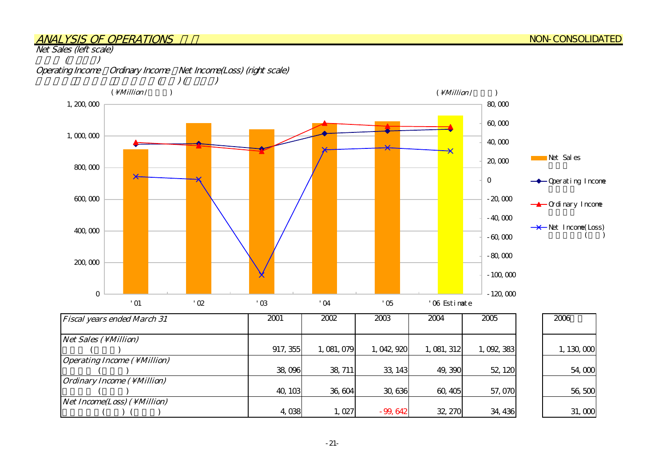#### ANALYSIS OF OPERATIONS

Net Sales (left scale)

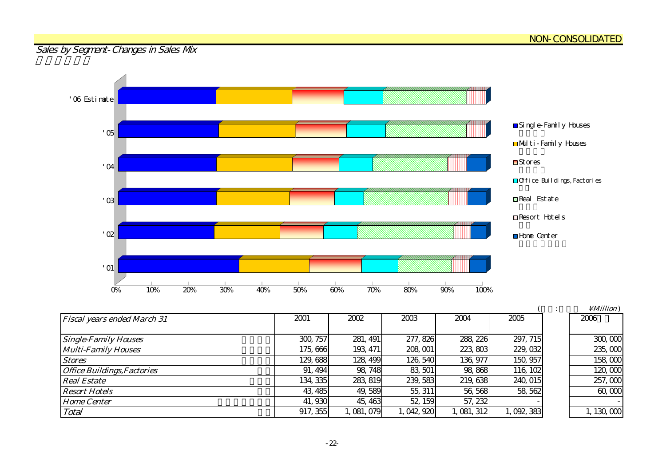## Sales by Segment-Changes in Sales Mx



| <b>Fiscal years ended March 31</b> | 2001     | 2002     | 2003       | 2004      | 2005        | 2006                 |
|------------------------------------|----------|----------|------------|-----------|-------------|----------------------|
|                                    |          |          |            |           |             |                      |
| <b>Single-Family Houses</b>        | 300, 757 | 281, 491 | 277, 826   | 288, 226  | 297, 715    | 300,000              |
| <b>Multi-Family Houses</b>         | 175,666  | 193, 471 | 208, 001   | 223, 803  | 229, 032    | 235,000              |
| <b>Stores</b>                      | 129,688  | 128, 499 | 126, 540   | 136, 977  | 150, 957    | 158 <sub>c</sub> coc |
| <b>Office Buildings, Factories</b> | 91, 494  | 98, 748  | 83 501     | 98,868    | 116, 102    | 120, COC             |
| <b>Real Estate</b>                 | 134, 335 | 283 819  | 239, 583   | 219,638   | 240, 015    | 257,000              |
| <b>Resort Hotels</b>               | 43, 485  | 49,589   | 55, 311    | 56, 568   | 58, 562     | 60,000               |
| <b>Home Center</b>                 | 41,930   | 45, 463  | 52, 159    | 57, 232   |             |                      |
| Total                              | 917, 355 | ,081,079 | , 042, 920 | 1,081,312 | 1, 092, 383 | 1, 130, $000$        |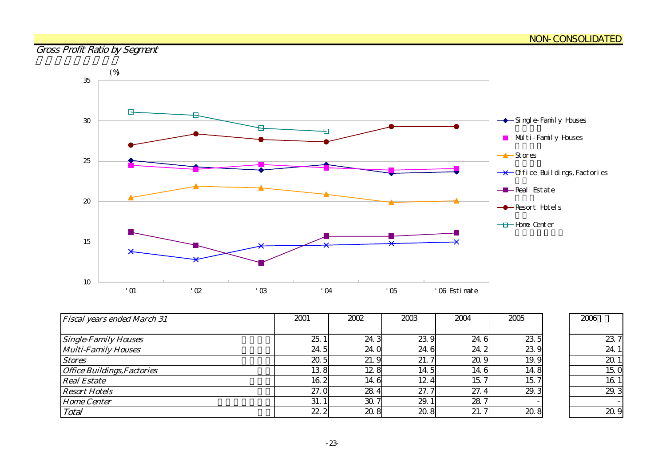## Gross Profit Ratio by Segment



| <b>Fiscal years ended March 31</b> | 2001            | 2002 | 2003 | 2004 | 2005 | 2006           |
|------------------------------------|-----------------|------|------|------|------|----------------|
|                                    |                 |      |      |      |      |                |
| <b>Single-Family Houses</b>        | 25.             | 24.3 | 23.9 | 24.6 | 23 5 | $\mathbf{z}$   |
| <b>Multi-Family Houses</b>         | 24.5            | 24.0 | 24.6 | 24.2 | 239  | $\overline{2}$ |
| <b>Stores</b>                      | 20.5            | 21.9 | 21.7 | 20.9 | 19.9 | $\alpha$       |
| <b>Office Buildings, Factories</b> | 138             | 12.8 | 14.5 | 14.6 | 14.8 | 15             |
| <b>Real Estate</b>                 | 16.2            | 14.6 | 12.4 | 15.7 | 15.7 | 16             |
| <b>Resort Hotels</b>               | 27.0            | 28.4 | 27.7 | 27.4 | 29.3 | $\alpha$       |
| <b>Home Center</b>                 | 31.             | 30.7 | 29.1 | 28.7 |      |                |
| Total                              | 22 <sub>2</sub> | 20.8 | 20.8 | 21.7 | 208  | $\alpha$       |

| 2006 |         |
|------|---------|
|      |         |
|      | 23<br>7 |
|      | 24.     |
|      | 20      |
|      | 15.     |
|      | 16.     |
|      | 29<br>З |
|      |         |
|      |         |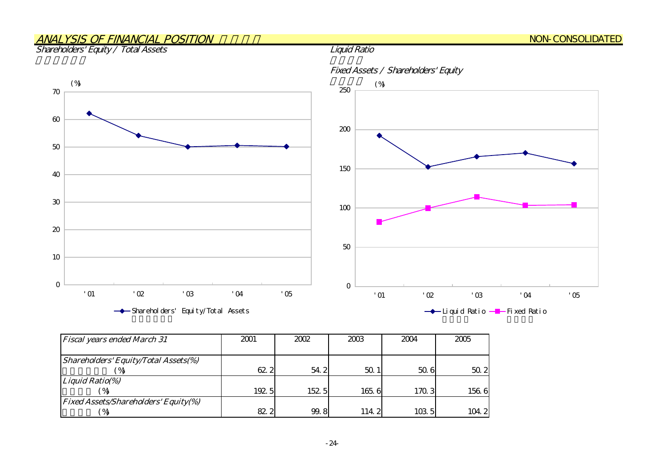## ANALYSIS OF FINANCIAL POSITION

#### Shareholders' Equity / Total Assets

010 20 30 405С  $_{\rm \alpha}$ 7С '01 '02 '03 '04 '05 Shareholders' Equity/Total Assets  $\mathsf{C}$ 5С 100 150 200250'01 '02 '03 '04 '05 → Liquid Ratio –– Fixed Ratio  $(\%)$  (%) and (%) and (%) and (%) and (%) and (%) and (%) and (%) and (%) and (%) and (%) and (%) and (%) and (%) and (%) and (%) and (%) and (%) and (%) and (%) and (%) and (%) and (%) and (%) and (%) and (%) and (%) and

| <b>Fiscal years ended March 31</b>          | 2001  | 2002  | 2003  | 2004  | 2005  |
|---------------------------------------------|-------|-------|-------|-------|-------|
|                                             |       |       |       |       |       |
| <b>Shareholders' Equity/Total Assets(%)</b> |       |       |       |       |       |
|                                             | 62 2  | 54.2  | 50.1  | 506   | 50.2  |
| Liquid Ratio(%)                             |       |       |       |       |       |
|                                             | 192.5 | 152 5 | 1656  | 170.3 | 156.6 |
| <b>Fixed Assets/Shareholders' Equity(%)</b> |       |       |       |       |       |
|                                             | 82 2  | 99.8  | 114.2 | 103 5 | 104.2 |

#### Fixed Assets / Shareholders' Equity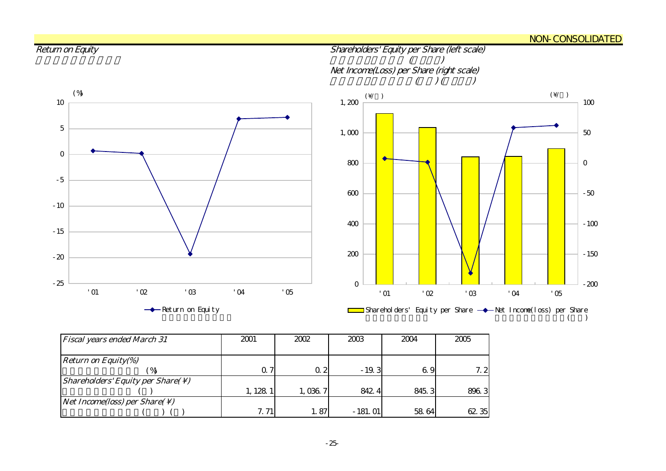#### <u>NON-CONSOLIDATED</u>



| <b>Fiscal years ended March 31</b>                            | 2001     | 2002       | 2003      | 2004  | 2005  |
|---------------------------------------------------------------|----------|------------|-----------|-------|-------|
|                                                               |          |            |           |       |       |
| <i>Return on Equity(%)</i>                                    |          |            |           |       |       |
|                                                               | 0. 7     | $\Omega$ 2 | $-19.3$   | 69    | 7.2   |
| <i>Shareholders' Equity per Share(<math>\setminus</math>)</i> |          |            |           |       |       |
|                                                               | 1, 128 1 | 1,036.7    | 842.4     | 845.3 | 896.3 |
| <i>Net Income(loss) per Share(<math>\setminus</math>)</i>     |          |            |           |       |       |
|                                                               | 7.71     | 1.87       | $-181.01$ | 58 64 | 62 35 |

#### -25-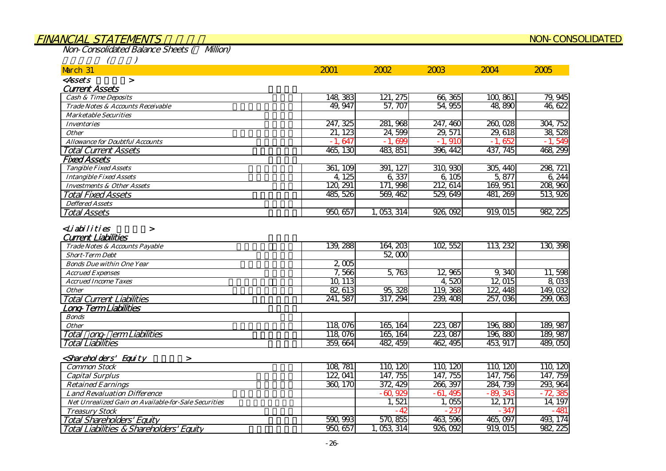#### FINANCIAL STATEMENTS NON-CONSOLIDATED

919,015 982,225

926,092

1,053,314 926,092

Non-Consolidated Balance Sheets (¥ Million)

Total Liabilities & Shareholders' Equity 負債・資本合計

| March 31                                                     | 2001         | 2002        | 2003                   | 2004        | 2005      |
|--------------------------------------------------------------|--------------|-------------|------------------------|-------------|-----------|
| <assets<br><math>\geq</math></assets<br>                     |              |             |                        |             |           |
| <b>Current Assets</b>                                        |              |             |                        |             |           |
| <b>Cash &amp; Time Deposits</b>                              | 148, 383     | 121, 275    | 66,365                 | 100,861     | 79, 945   |
| Trade Notes & Accounts Receivable                            | 49.947       | 57.707      | 54.955                 | 48.890      | 46,622    |
| <b>Marketable Securities</b>                                 |              |             |                        |             |           |
| <b>Inventories</b>                                           | 247, 325     | 281, 968    | 247, 460               | 260,028     | 304, 752  |
| <b>Other</b>                                                 | 21, 123      | 24,599      | 29, 571                | 29, 618     | 38, 528   |
| <b>Allowance for Doubtful Accounts</b>                       | 647<br>$-1.$ | $-1,699$    | $-1,910$               | 652<br>$-1$ | $-1,549$  |
| <b>Total Current Assets</b>                                  | 465, 130     | 483, 851    | 396, 442               | 437, 745    | 468, 299  |
| <b>Fixed Assets</b>                                          |              |             |                        |             |           |
| <b>Tangible Fixed Assets</b>                                 | 361, 109     | 391, 127    | 310, 930               | 305, 440    | 298, 721  |
| <b>Intangible Fixed Assets</b>                               | 4, 125       | 6,337       | 6,105                  | 5,877       | 6,244     |
| <b>Investments &amp; Other Assets</b>                        | 120, 291     | 171, 998    | 212, 614               | 169, 951    | 208,960   |
| <b>Total Fixed Assets</b>                                    | 485, 526     | 569, 462    | 529, 649               | 481, 269    | 513, 926  |
| <b>Deffered Assets</b>                                       |              |             |                        |             |           |
| <b>Total Assets</b>                                          | 950, 657     | 1, 053, 314 | $\frac{926}{929}$      | 919,015     | 982, 225  |
| <b>Current Liabilities</b><br>Trade Notes & Accounts Payable | 139, 288     | 164, 203    | 102, 552               | 113 232     | 130, 398  |
| <b>Short-Term Debt</b>                                       |              | 52,000      |                        |             |           |
| <b>Bonds Due within One Year</b>                             | 2,005        |             |                        |             |           |
| <b>Accrued Expenses</b>                                      | 7,566        | 5,763       | 12,965                 | 9,340       | 11,598    |
| <b>Accrued Income Taxes</b>                                  | 10, 113      |             | 4,520                  | 12,015      | 8,033     |
| <b>Other</b>                                                 | 82,613       | 95, 328     | 119, 368               | 122, 448    | 149,032   |
| <b>Total Current Liabilities</b>                             | 241,587      | 317, 294    | 239, 408               | 257,036     | 299,063   |
| .ong-Term Liabilities                                        |              |             |                        |             |           |
| <b>Bonds</b>                                                 |              |             |                        |             |           |
| <b>Other</b>                                                 | 118,076      | 165, 164    | 223, 087               | 196,880     | 189, 987  |
| ong-erm Liabilities<br>Total                                 | 118 076      | 165, 164    | $\overline{223}$ , 087 | 196,880     | 189, 987  |
| <b>Total Liabilities</b>                                     | 359,664      | 482, 459    | 462, 495               | 453, 917    | 489,050   |
| <shareholders' equity<br="">➤</shareholders'>                |              |             |                        |             |           |
| <b>Common Stock</b>                                          | 108, 781     | 110, 120    | 110, 120               | 110, 120    | 110, 120  |
| <b>Capital Surplus</b>                                       | 122, 041     | 147, 755    | 147, 755               | 147, 756    | 147, 759  |
| <b>Retained Earnings</b>                                     | 360, 170     | 372, 429    | 266, 397               | 284, 739    | 293, 964  |
| <b>Land Revaluation Difference</b>                           |              | $-60.929$   | $-61,495$              | $-89,343$   | $-72,385$ |
| Net Unrealized Gain on Available-for-Sale Securities         |              | 1,521       | 1,055                  | 12, 171     | 14, 197   |
| <b>Treasury Stock</b>                                        |              | $-42$       | $-237$                 | $-347$      | $-481$    |
| <b>Total Shareholders' Equity</b>                            | 590, 993     | 570,855     | 463, 596               | 465,097     | 493, 174  |

950,657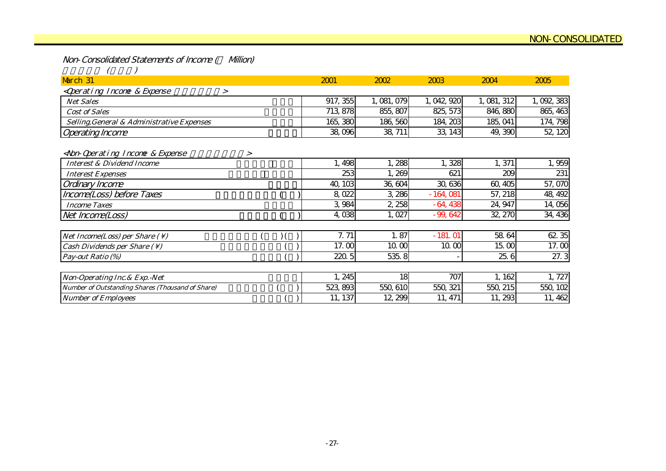Non-Consolidated Statements of Income (¥ Million)

| March 31                                                                                                                                |        | 2001     | 2002        | 2003        | 2004        | 2005      |
|-----------------------------------------------------------------------------------------------------------------------------------------|--------|----------|-------------|-------------|-------------|-----------|
| <qperating &="" expense<br="" income=""><math>\geq</math></qperating>                                                                   |        |          |             |             |             |           |
| <b>Net Sales</b>                                                                                                                        |        | 917, 355 | 1, 081, 079 | 1, 042, 920 | 1, 081, 312 | 1,092,383 |
| <b>Cost of Sales</b>                                                                                                                    |        | 713, 878 | 855, 807    | 825, 573    | 846, 880    | 865, 463  |
| Selling, General & Administrative Expenses                                                                                              |        | 165, 380 | 186,560     | 184, 203    | 185, 041    | 174, 798  |
| <b>Operating Income</b>                                                                                                                 |        | 38,096   | 38, 711     | 33, 143     | 49, 390     | 52, 120   |
| <non-qperating &="" expense<="" incone="" td=""><td><math>\geq</math></td><td></td><td></td><td></td><td></td><td></td></non-qperating> | $\geq$ |          |             |             |             |           |
| <b>Interest &amp; Dividend Income</b>                                                                                                   |        | 1,498    | 1,288       | 1,328       | 1,371       | 1,959     |
| <b>Interest Expenses</b>                                                                                                                |        | 253      | 1,269       | 621         | 209         | 231       |
| Ordinary Income                                                                                                                         |        | 40, 103  | 36, 604     | 30, 636     | 60,405      | 57,070    |
| Income(Loss) before Taxes                                                                                                               |        | 8,022    | 3,286       | $-164,081$  | 57, 218     | 48, 492   |
| <b>Income Taxes</b>                                                                                                                     |        | 3,984    | 2,258       | $-64,438$   | 24, 947     | 14,056    |
| Net Income(Loss)                                                                                                                        |        | 4,038    | 1,027       | $-99,642$   | 32, 270     | 34, 436   |
|                                                                                                                                         |        |          |             |             |             |           |
| Net Income(Loss) per Share $( \setminus )$                                                                                              |        | 7.71     | 1.87        | $-181.01$   | 58 64       | 62 35     |
| Cash Dividends per Share $(\setminus)$                                                                                                  |        | 17.00    | 10.00       | 10.00       | 15.00       | 17.00     |
| Pay-out Ratio (%)                                                                                                                       |        | 220.5    | 535.8       |             | 25.6        | 27.3      |
|                                                                                                                                         |        |          |             |             |             |           |
| Non-Operating Inc. & Exp. - Net                                                                                                         |        | 1,245    | 18          | 707         | 1, 162      | 1,727     |
| Number of Outstanding Shares (Thousand of Share)                                                                                        |        | 523, 893 | 550, 610    | 550, 321    | 550, 215    | 550, 102  |
| <b>Number of Employees</b>                                                                                                              |        | 11, 137  | 12, 299     | 11, 471     | 11,293      | 11, 462   |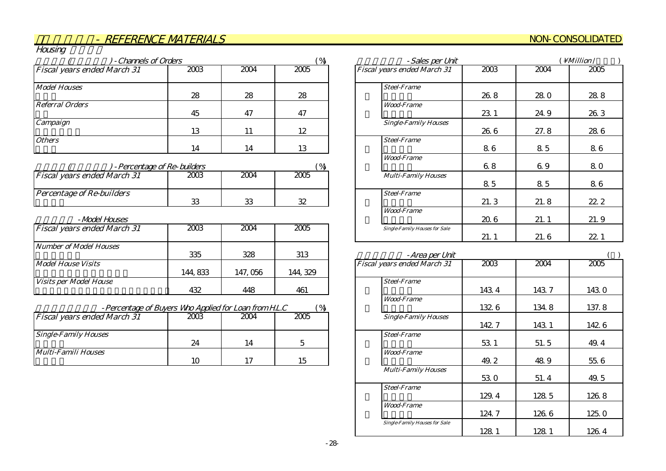#### NON-CONSOLIDATED

| Housing                            |      |      |            |
|------------------------------------|------|------|------------|
| - Channels of Orders               |      |      | $\sqrt{9}$ |
| <b>Fiscal years ended March 31</b> | 2003 | 2004 | 2005       |
| <b>Model Houses</b>                |      |      |            |
|                                    | 28   | 28   | 28         |
| <b>Referral Orders</b>             |      |      |            |
|                                    | 45   | 47   | 47         |
| Campaign                           |      |      |            |
|                                    | 13   | 11   | 12         |
| <b>Others</b>                      |      |      |            |
|                                    | 14   | 14   | 13         |

| -Percentage of Re-builders         |          |      |      |                            |
|------------------------------------|----------|------|------|----------------------------|
| <b>Fiscal years ended March 31</b> | 2003     | 2004 | 2005 | <b>Multi-Family Houses</b> |
| <i>Percentage of Re-builders</i>   | $\Omega$ | ററ   | 22   | <b>Steel-Frame</b>         |

#### 住宅展示場 -Model Houses

| <b>Fiscal years ended March 31</b> | 2003     | 2004     | 2005     | <b>Single-Family Houses for Sale</b> |
|------------------------------------|----------|----------|----------|--------------------------------------|
| Number of Model Houses             |          |          |          |                                      |
|                                    | 335      | 328      | 313      | -Area per Un                         |
| <b>Model House Visits</b>          |          |          |          | <b>Fiscal years ended March 31</b>   |
|                                    | 144, 833 | 147, 056 | 144, 329 |                                      |
| <i>Visits per Model House</i>      |          |          |          | <b>Steel-Frame</b>                   |
|                                    | 432      | 448      | 461      |                                      |

| %<br>-Percentage of Buyers Who Applied for Loan from H.L.C |
|------------------------------------------------------------|
|------------------------------------------------------------|

| <b>Fiscal years ended March 31</b> | 2003 | 2004 | 2005 | <b>Single-Family Houses</b> |
|------------------------------------|------|------|------|-----------------------------|
| <b>Single-Family Houses</b>        |      |      |      | <b>Steel-Frame</b>          |
|                                    | 24   |      |      |                             |
| Multi-Famili Houses                |      |      |      | <i>Wood-Frame</i>           |
|                                    |      |      |      |                             |

| -Sales per Unit                      | <i>Million</i> / |                 |      |  |
|--------------------------------------|------------------|-----------------|------|--|
| <b>Fiscal years ended March 31</b>   | 2003             | 2004            | 2005 |  |
| <b>Steel-Frame</b>                   | 26.8             | 28 <sub>0</sub> | 28.8 |  |
| <i><b>Wood-Frame</b></i>             | 23.1             | 24.9            | 26.3 |  |
| <b>Single-Family Houses</b>          | 26.6             | 27.8            | 28 6 |  |
| <b>Steel-Frame</b>                   | 86               | 8.5             | 86   |  |
| <b>Wood-Frame</b>                    | 68               | 6.9             | 80   |  |
| <b>Multi-Family Houses</b>           | 85               | 85              | 86   |  |
| <b>Steel-Frame</b>                   | 21.3             | 21.8            | 22.2 |  |
| <b>Wood-Frame</b>                    | 20.6             | 21.1            | 21.9 |  |
| <b>Single-Family Houses for Sale</b> | 21.1             | 21.6            | 22.1 |  |

| -Area per Unit                       |       |       |       |
|--------------------------------------|-------|-------|-------|
| Fiscal years ended March 31          | 2003  | 2004  | 2005  |
| <b>Steel-Frame</b>                   | 143.4 | 1437  | 143.0 |
| <b>Wood-Frame</b>                    | 1326  | 134.8 | 137.8 |
| <b>Single-Family Houses</b>          | 142.7 | 143.1 | 142 6 |
| <b>Steel-Frame</b>                   | 53.1  | 51.5  | 49.4  |
| <b>Wood-Frame</b>                    | 49.2  | 48.9  | 55.6  |
| <b>Multi-Family Houses</b>           | 53.0  | 51.4  | 49.5  |
| <b>Steel-Frame</b>                   | 129.4 | 128 5 | 126.8 |
| <b>Wood-Frame</b>                    | 124.7 | 126.6 | 125.0 |
| <b>Single-Family Houses for Sale</b> | 128.1 | 128.1 | 126.4 |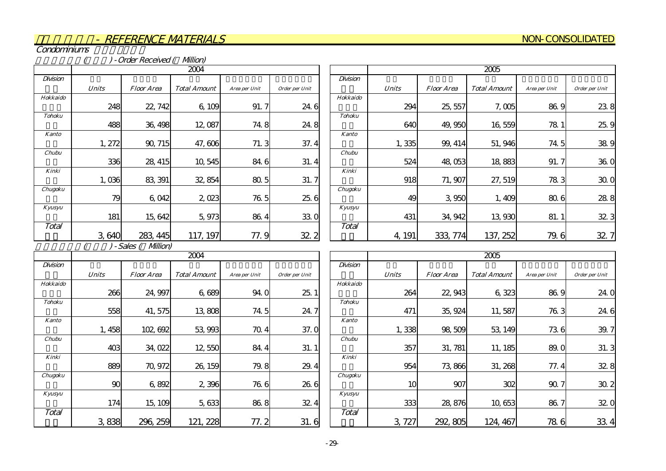#### NON-CONSOLIDATED

Condominiums

( and a ) - Order Received ( Allion)

|               |              | 2004              |                     |               |                |  |  |  |  |
|---------------|--------------|-------------------|---------------------|---------------|----------------|--|--|--|--|
| Division      |              |                   |                     |               |                |  |  |  |  |
|               | <b>Units</b> | <b>Floor Area</b> | <b>Total Amount</b> | Area per Unit | Order per Unit |  |  |  |  |
| Hokkaido      |              |                   |                     |               |                |  |  |  |  |
|               | 248          | 22, 742           | 6,109               | 91.7          | 24.6           |  |  |  |  |
| <b>Tohoku</b> |              |                   |                     |               |                |  |  |  |  |
|               | 488          | 36, 498           | 12,087              | 74.8          | 24.8           |  |  |  |  |
| <b>Kanto</b>  |              |                   |                     |               |                |  |  |  |  |
|               | 1, 272       | 90, 715           | 47,606              | 71.3          | 37.4           |  |  |  |  |
| <b>Chubu</b>  |              |                   |                     |               |                |  |  |  |  |
|               | 336          | 28, 415           | 10,545              | 84.6          | 31.4           |  |  |  |  |
| Kinki         |              |                   |                     |               |                |  |  |  |  |
|               | 1,036        | 83, 391           | 32, 854             | 80.5          | 31.7           |  |  |  |  |
| Chugoku       |              |                   |                     |               |                |  |  |  |  |
|               | 79           | 6,042             | 2,023               | 76.5          | 25.6           |  |  |  |  |
| Kyusyu        |              |                   |                     |               |                |  |  |  |  |
|               | 181          | 15, 642           | 5,973               | 86.4          | 33.0           |  |  |  |  |
| Total         |              |                   |                     |               |                |  |  |  |  |
|               | 3,640        | 445               | 117, 197            | 77.9          | 32.2           |  |  |  |  |

|               | 2005         |                   |                     |               |                |  |  |  |  |
|---------------|--------------|-------------------|---------------------|---------------|----------------|--|--|--|--|
| Division      |              |                   |                     |               |                |  |  |  |  |
|               | <b>Units</b> | <i>Floor Area</i> | <b>Total Amount</b> | Area per Unit | Order per Unit |  |  |  |  |
| Hokkaido      |              |                   |                     |               |                |  |  |  |  |
|               | 294          | 25, 557           | 7,005               | 86.9          | 23.8           |  |  |  |  |
| <b>Tohoku</b> |              |                   |                     |               |                |  |  |  |  |
|               | 640          | 49,950            | 16,559              | 78 1          | 25.9           |  |  |  |  |
| <b>Kanto</b>  |              |                   |                     |               |                |  |  |  |  |
|               | 1,335        | 99, 414           | 51,946              | 74.5          | 38.9           |  |  |  |  |
| Chubu         |              |                   |                     |               |                |  |  |  |  |
|               | 524          | 48,053            | 18,883              | 91.7          | 36.0           |  |  |  |  |
| Kinki         |              |                   |                     |               |                |  |  |  |  |
|               | 918          | 71, 907           | 27, 519             | 783           | 30.0           |  |  |  |  |
| Chugoku       |              |                   |                     |               |                |  |  |  |  |
|               | 49           | 3,950             | 1,409               | 80.6          | 28.8           |  |  |  |  |
| Kyusyu        |              |                   |                     |               |                |  |  |  |  |
|               | 431          | 34, 942           | 13,930              | 81.1          | 32.3           |  |  |  |  |
| Total         |              |                   |                     |               |                |  |  |  |  |
|               | 191<br>4,    | 333, 774          | 137, 252            | 79.6          | 32             |  |  |  |  |

 $( ) - Sales ($  Million)

|               |              |                   | 2004                |               |                |
|---------------|--------------|-------------------|---------------------|---------------|----------------|
| Division      |              |                   |                     |               |                |
|               | <b>Units</b> | <b>Floor Area</b> | <b>Total Amount</b> | Area per Unit | Order per Unit |
| Hokkaido      |              |                   |                     |               |                |
|               | 266          | 24, 997           | 6,689               | 94.0          | 25.1           |
| <b>Tohoku</b> |              |                   |                     |               |                |
|               | 558          | 41, 575           | 13,808              | 74.5          | 24.7           |
| Kanto         |              |                   |                     |               |                |
|               | 1,458        | 102, 692          | 53,993              | 70.4          | 37.0           |
| Chubu         |              |                   |                     |               |                |
|               | 403          | 34,022            | 12,550              | 84.4          | 31.1           |
| Kinki         |              |                   |                     |               |                |
|               | 889          | 70, 972           | 26, 159             | 79.8          | 29.4           |
| Chugoku       |              |                   |                     |               |                |
|               | 90           | 6,892             | 2,396               | 76.6          | 26.6           |
| Kyusyu        |              |                   |                     |               |                |
|               | 174          | 15, 109           | 5,633               | 86.8          | 32.4           |
| Total         |              |                   |                     |               |                |
|               | 3,838        | 259<br>296.       | 121, 228            | 77.2          | 31.6           |

|               |              |                   | 2005                |               |                |
|---------------|--------------|-------------------|---------------------|---------------|----------------|
| Division      |              |                   |                     |               |                |
|               | <b>Units</b> | <i>Floor Area</i> | <b>Total Amount</b> | Area per Unit | Order per Unit |
| Hokkaido      |              |                   |                     |               |                |
|               | 264          | 22, 943           | 6,323               | 86.9          | 24.0           |
| <b>Tohoku</b> |              |                   |                     |               |                |
|               | 471          | 35, 924           | 11,587              | 76.3          | 24.6           |
| <b>Kanto</b>  |              |                   |                     |               |                |
|               | 1,338        | 98,509            | 53, 149             | 736           | 39.<br>7       |
| Chubu         |              |                   |                     |               |                |
|               | 357          | 31, 781           | 11, 185             | 89.0          | 31.3           |
| Kinki         |              |                   |                     |               |                |
|               | 954          | 73,866            | 31, 268             | 77.4          | 32.8           |
| Chugoku       |              |                   |                     |               |                |
|               | 10           | 907               | 302                 | 90.7          | 30.2           |
| Kyusyu        |              |                   |                     |               |                |
|               | 333          | 28,876            | 10,653              | 86.7          | 32.0           |
| Total         |              |                   |                     |               |                |
|               | 72.<br>3     | 292, 805          | 124, 467            | 786           | 33             |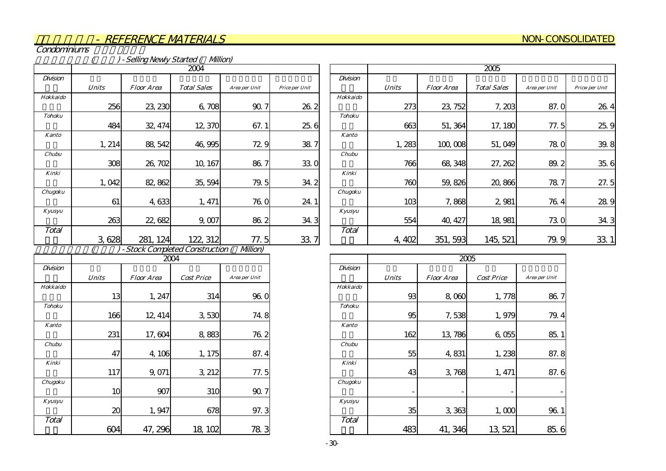#### NON-CONSOLIDATED

Condominiums

|               |              |                   | - Selling Newly Started ( Milion) |                |                 |  |  |  |  |
|---------------|--------------|-------------------|-----------------------------------|----------------|-----------------|--|--|--|--|
| 2004          |              |                   |                                   |                |                 |  |  |  |  |
| Division      |              |                   |                                   |                |                 |  |  |  |  |
|               | <b>Units</b> | <b>Floor Area</b> | <b>Total Sales</b>                | Area per Unit  | Price per Unit  |  |  |  |  |
| Hokkaido      |              |                   |                                   |                |                 |  |  |  |  |
|               | 256          | 23, 230           | 6,708                             | 90.7           | 26.2            |  |  |  |  |
| <b>Tohoku</b> |              |                   |                                   |                |                 |  |  |  |  |
|               | 484          | 32, 474           | 12,370                            | 67.1           | 25.6            |  |  |  |  |
| <b>Kanto</b>  |              |                   |                                   |                |                 |  |  |  |  |
|               | 1, 214       | 88, 542           | 46,995                            | 72.9           | 38.7            |  |  |  |  |
| Chubu         |              |                   |                                   |                |                 |  |  |  |  |
|               | 308          | 26, 702           | 10, 167                           | 86.7           | 330             |  |  |  |  |
| Kinki         |              |                   |                                   |                |                 |  |  |  |  |
|               | 1,042        | 82, 862           | 35, 594                           | 79.5           | 34.2            |  |  |  |  |
| Chugoku       |              |                   |                                   |                |                 |  |  |  |  |
|               | 61           | 4,633             | 1, 471                            | 76. O          | 24.1            |  |  |  |  |
| Kyusyu        |              |                   |                                   |                |                 |  |  |  |  |
|               | 263          | 22,682            | 9,007                             | 86.2           | 34.3            |  |  |  |  |
| Total         |              |                   |                                   |                |                 |  |  |  |  |
|               | 3,628        | 281, 124          | 122, 312                          | 77.5           | 33 <sup>′</sup> |  |  |  |  |
|               |              |                   | - Stock Completed Construction    | <b>Milion)</b> |                 |  |  |  |  |
|               |              | 2004              |                                   |                |                 |  |  |  |  |
| Division      |              |                   |                                   |                |                 |  |  |  |  |
|               | <b>Units</b> | <b>Floor Area</b> | <b>Cost Price</b>                 | Area per Unit  |                 |  |  |  |  |
| Hokkaido      |              |                   |                                   |                |                 |  |  |  |  |
|               | 13           | 1, 247            | 314                               | 96.O           |                 |  |  |  |  |

|               | 2005            |                   |                    |               |                |  |  |  |  |
|---------------|-----------------|-------------------|--------------------|---------------|----------------|--|--|--|--|
| Division      |                 |                   |                    |               |                |  |  |  |  |
|               | <b>Units</b>    | <b>Floor Area</b> | <b>Total Sales</b> | Area per Unit | Pricw per Unit |  |  |  |  |
| Hokkaido      |                 |                   |                    |               |                |  |  |  |  |
|               | 273             | 23, 752           | 7,203              | 87.0          | 26.4           |  |  |  |  |
| <b>Tohoku</b> |                 |                   |                    |               |                |  |  |  |  |
|               | 663             | 51, 364           | 17, 180            | 77.5          | 25.9           |  |  |  |  |
| <b>Kanto</b>  |                 |                   |                    |               |                |  |  |  |  |
|               | 1,283           | 100,008           | 51,049             | 78.0          | 39.8           |  |  |  |  |
| Chubu         |                 |                   |                    |               |                |  |  |  |  |
|               | 766             | 68,348            | 27, 262            | 89.2          | 35.6           |  |  |  |  |
| Kinki         |                 |                   |                    |               |                |  |  |  |  |
|               | 760             | 59,826            | 20,866             | 78.7          | 27.5           |  |  |  |  |
| Chugoku       |                 |                   |                    |               |                |  |  |  |  |
|               | 10 <sup>3</sup> | 7,868             | 2,981              | 76.4          | 28.9           |  |  |  |  |
| Kyusyu        |                 |                   |                    |               |                |  |  |  |  |
|               | 554             | 40, 427           | 18,981             | 73.0          | 34.3           |  |  |  |  |
| Total         |                 |                   |                    |               |                |  |  |  |  |
|               | 4,402           | 351, 593          | 145, 521           | 79.9          | 33.            |  |  |  |  |

|               |                            | 2004              |                   |               |
|---------------|----------------------------|-------------------|-------------------|---------------|
| Division      |                            |                   |                   |               |
|               | Units                      | <b>Floor Area</b> | <b>Cost Price</b> | Area per Unit |
| Hokkaido      |                            |                   |                   |               |
|               | 13                         | 1, 247            | 314               | 96.0          |
| <b>Tohoku</b> |                            |                   |                   |               |
|               | 166                        | 12, 414           | 3,530             | 74.8          |
| <b>Kanto</b>  |                            |                   |                   |               |
|               | 231                        | 17,604            | 8,883             | 76.2          |
| Chubu         |                            |                   |                   |               |
|               | 47                         | 4,106             | 1, 175            | 87.4          |
| Kinki         |                            |                   |                   |               |
|               | 117                        | 9,071             | 3, 212            | 77.5          |
| Chugoku       |                            |                   |                   |               |
|               | 10                         | 907               | 310               | 90.7          |
| Kyusyu        |                            |                   |                   |               |
|               | $\boldsymbol{\mathcal{Z}}$ | 1,947             | 678               | 97.3          |
| Total         |                            |                   |                   |               |
|               | ťΨ                         | 47, 296           | 18, 102           | 783           |

|               |               | 2005                     |                   |                          |               |  |  |  |  |
|---------------|---------------|--------------------------|-------------------|--------------------------|---------------|--|--|--|--|
|               | Division      |                          |                   |                          |               |  |  |  |  |
| Area per Unit |               | <b>Units</b>             | <b>Floor Area</b> | <b>Cost Price</b>        | Area per Unit |  |  |  |  |
|               | Hokkaido      |                          |                   |                          |               |  |  |  |  |
| 96.0          |               | 93                       | 8,000             | 1,778                    | 86.7          |  |  |  |  |
|               | <b>Tohoku</b> |                          |                   |                          |               |  |  |  |  |
| 74.8          |               | 95                       | 7,538             | 1,979                    | 79.4          |  |  |  |  |
|               | <b>Kanto</b>  |                          |                   |                          |               |  |  |  |  |
| 76.2          |               | 162                      | 13,786            | 6,055                    | 85.1          |  |  |  |  |
|               | Chubu         |                          |                   |                          |               |  |  |  |  |
| 87.4          |               | 55                       | 4,831             | 1,238                    | 87.8          |  |  |  |  |
|               | Kinki         |                          |                   |                          |               |  |  |  |  |
| 77.5          |               | 43                       | 3,768             | 1, 471                   | 87.6          |  |  |  |  |
|               | Chugoku       |                          |                   |                          |               |  |  |  |  |
| 90.7          |               | $\overline{\phantom{a}}$ |                   | $\overline{\phantom{a}}$ |               |  |  |  |  |
|               | Kyusyu        |                          |                   |                          |               |  |  |  |  |
| 97.3          |               | 35                       | 3,363             | 1,000                    | 96.1          |  |  |  |  |
|               | Total         |                          |                   |                          |               |  |  |  |  |
| 78 3          |               | 483                      | 41, 346           | 13, 521                  | 85.6          |  |  |  |  |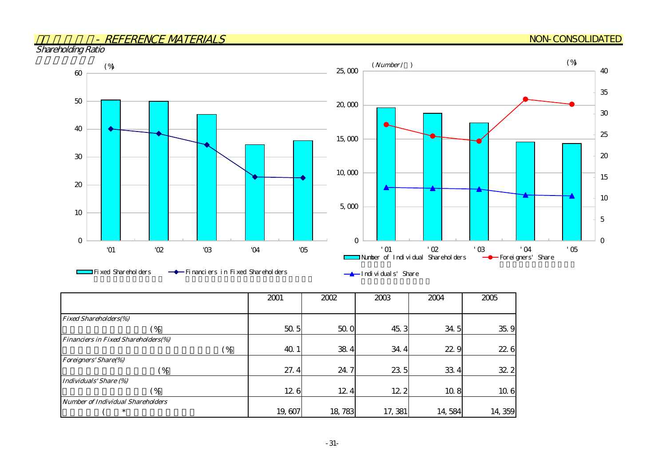#### NON-CONSOLIDATED

Shareholding Ratio



|                                            | 2001         | 2002   | 2003    | 2004   | 2005   |
|--------------------------------------------|--------------|--------|---------|--------|--------|
|                                            |              |        |         |        |        |
| <b>Fixed Shareholders(%)</b>               |              |        |         |        |        |
| (%                                         | 50.5         | 50.0   | 45.3    | 34.5   | 35.9   |
| <b>Financiers in Fixed Shareholders(%)</b> |              |        |         |        |        |
|                                            | 40.1<br>( %) | 38.4   | 34.4    | 22.9   | 22.6   |
| <b>Foreigners' Share(%)</b>                |              |        |         |        |        |
| ( %)                                       | 27.4         | 24.7   | 23 5    | 33.4   | 32.2   |
| Individuals' Share (%)                     |              |        |         |        |        |
| (%                                         | 126          | 12.4   | 12 2    | 10.8   | 10.6   |
| <b>Number of Individual Shareholders</b>   |              |        |         |        |        |
| ∗                                          | 19,607       | 18,783 | 17, 381 | 14,584 | 14,359 |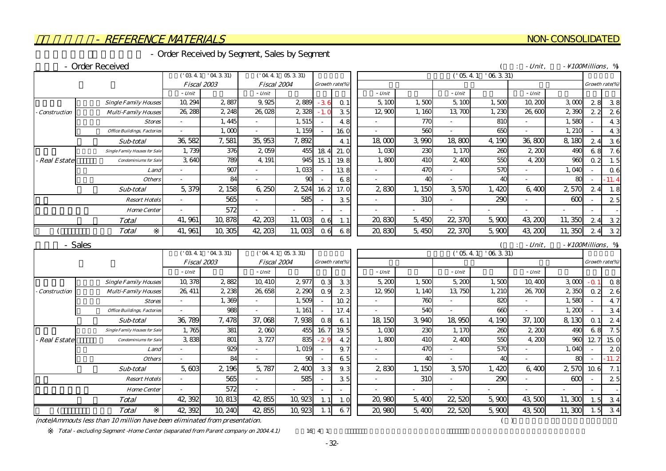#### - Order Received by Segment, Sales by Segment

#### - Order Received

|                     |                                      |         | ('03.4.1'04.3.31)  |          | ('04 4 1 05 3 31)     |        |                |          |        | ('05.4.1) | $'$ 06 3 31) |           |                                  |                 |                |
|---------------------|--------------------------------------|---------|--------------------|----------|-----------------------|--------|----------------|----------|--------|-----------|--------------|-----------|----------------------------------|-----------------|----------------|
|                     |                                      |         | <b>Fiscal 2003</b> |          | Fiscal 2004           |        | Growth rate(%) |          |        |           |              |           |                                  | Growth rate(%)  |                |
|                     |                                      | - Unit  |                    | - Unit   |                       |        |                | $- Unit$ |        | $- Unit$  |              | $-$ Unit  |                                  |                 |                |
|                     | <b>Single Family Houses</b>          | 10, 294 | 2,887              | 9.925    | 2,889                 | $-36$  | Q <sub>1</sub> | 5,100    | 1.500  | 5,100     | 1,500        | 10,200    | $3 \alpha$                       | 28              | 38             |
| <b>Construction</b> | <b>Multi-Family Houses</b>           | 26, 288 | 2, 248             | 26,028   | 2,328                 | $-1.0$ | 35             | 12,900   | 1,160  | 13, 700   | 1,230        | 26,600    | 2,390                            | 22              | 26             |
|                     | <b>Stores</b>                        |         | 1, 445             |          | 1,515                 |        | 4.8            |          | 770    |           | 810          |           | 1,580                            |                 | 4 <sup>5</sup> |
|                     | <b>Office Buildings, Factories</b>   |         | 1,000              |          | 1, 159                |        | 16.0           |          | 560    |           | 650          |           | 1, 210                           |                 | 4 <sup>°</sup> |
|                     | Sub-total                            | 36,582  | 7,581              | 35,953   | 7,892                 |        | 4 1            | 18,000   | 3,990  | 18,800    | 4,190        | 36,800    | 8,180                            | 24              | 36             |
|                     | <b>Single Family Houses for Sale</b> | 1,739   | 376                | 2,059    | 455                   | 184    | 21.0           | 1.03C    | 230    | 1, 170    | 260          | 2,200     | 49C                              | 68              | 7.6            |
| <b>Real Estate</b>  | <b>Condominiums</b> for Sale         | 3,640   | 789                | 4, 191   | 945                   | 15.1   | 19.8           | 1,800    | 410    | 2,400     | 550          | 4,200     | 960                              | 0.2             | 1.5            |
|                     | Land                                 |         | 907                |          | 1,033                 |        | 138            |          | 470    |           | 570          |           | 1,040                            |                 | $Q \in$        |
|                     | <b>Others</b>                        |         | 84                 |          | 90                    |        | 68             |          | 40     |           | 40           |           | 80                               |                 | $-11.4$        |
|                     | Sub-total                            | 5,379   | 2,158              | 6,250    | 2,524                 | 162    | 17.0           | 2,830    | 1,150  | 3,570     | 1,420        | 6,400     | 2,570                            | 24              | 1.8            |
|                     | <b>Resort Hotels</b>                 |         | 565                |          | 585                   |        | 35             |          | 310    |           | 290          |           | 600                              |                 | 2.5            |
|                     | <b>Home Center</b>                   |         | 572                |          |                       |        |                |          |        |           |              |           |                                  |                 |                |
|                     | <b>Total</b>                         | 41, 961 | 10,878             | 42, 203  | 11,003                | 06     | 1.             | 20,830   | 5,450  | 22, 370   | 5,900        | 43, 200   | 11,350                           | 24              | 32             |
|                     | <b>Total</b>                         | 41, 961 | 10,305             | 42, 203  | 11,003                | 0.6    | 6.8            | 20,830   | 5,450  | 22, 370   | 5,900        | 43, 200   | 11,350                           | 24              | 32             |
|                     | - Sales                              |         |                    |          |                       |        |                |          |        |           |              | $-Unit$ . | $- \setminus 100$ Millions, $\%$ |                 |                |
|                     |                                      |         | ('03.4.1'04.3.31)  |          | $($ ' 04 4 1 05 3 31) |        |                |          |        | (105.4.1) | $'$ 06 3 31) |           |                                  |                 |                |
|                     |                                      |         | Fiscal 2003        |          | Fiscal 2004           |        | Growth rate(%) |          |        |           |              |           |                                  | Growth rate(%)  |                |
|                     |                                      | - Unit  |                    | $- Unit$ |                       |        |                | $-$ Unit |        | $- Unit$  |              | - Unit    |                                  |                 |                |
|                     | <b>Single Family Houses</b>          | 10, 378 | 2,882              | 10, 410  | 2977                  | 0.3    | 33             | 5,200    | 1.500  | 5,200     | 1,500        | 10,400    | $3 \alpha$                       | $- \Omega$      | 0.8            |
| Construction        | <b>Multi-Family Houses</b>           | 26, 411 | 2 2 3 8            | 26,658   | 2,290                 | 0.9    | 23             | 12,950   | 1, 140 | 13,750    | 1, 210       | 26,700    | 2 350                            | 0 <sub>2</sub>  | 26             |
|                     | <b>Stores</b>                        |         | 1,369              |          | 1,509                 |        | 10.2           |          | 760    |           | 820          |           | 1,580                            |                 | 4.7            |
|                     | <b>Office Buildings, Factories</b>   |         | 988                |          | 1, 161                |        | 17.4           |          | 540    |           | 660          |           | 1,200                            |                 | 34             |
|                     | Sub-total                            | 36, 789 | 7,478              | 37,068   | 7,938                 | 0.8    | 61             | 18, 150  | 3,940  | 18,950    | 4,190        | 37, 100   | 8,130                            | Q <sub>1</sub>  | 24             |
|                     | <b>Single Family Houses for Sale</b> | 1.765   | 381                | 2,000    | 455                   | 16.7   | 19.5           | 1.030    | 230    | 1, 170    | 260          | 2,200     | 490                              | 68              | 7.5            |
| <b>Real Estate</b>  | <b>Condominiums</b> for Sale         | 3,838   | 801                | 3, 727   | 835                   | $-2.5$ | 4.2            | 1,800    | 410    | 2,400     | 550          | 4,200     | 960                              | 127             | 15 C           |
|                     | Land                                 |         | 929                |          | 1, 019                |        | 9.7            |          | 470    |           | 570          |           | 1,040                            |                 | 2C             |
|                     | <b>Others</b>                        |         | 84                 |          | 90                    |        | 65             |          | 40     |           | 40           |           | 80                               |                 | $-11.2$        |
|                     | Sub-total                            | 5,603   | 2, 196             | 5,787    | 2,400                 | 33     | 9.3            | 2,830    | 1, 150 | 3,570     | 1,420        | 6.400     | 2,570                            | $10 \text{ } 6$ | 7.1            |
|                     | <b>Resort Hotels</b>                 |         | 565                |          | 585                   |        | 35             |          | 310    |           | 290          |           | 600                              |                 | 25             |
|                     | <b>Home Center</b>                   |         | 572                |          |                       |        |                |          |        |           |              |           |                                  |                 |                |

 $(note)$ Ammouts less than 10 million have been eliminated from presentation.  $($ 

**Total** 

Total - excluding Segment -Home Center (separated from Parent company on 2004.4.1) 16 4 1

-32-

1.1 42,382 10,813 42,855 10,923 1.1 1.0 20,980 5,400 22,520 5,900 43,500 1.500 1.51 3.4

42,392 10,813 42,855 10,923 1.1 1.0 0 20,980 5,400 22,520 5,900 43,500 11,300

#### NON-CONSOLIDATED

 $($  : *Unit* ,  $\frac{100 \text{Millions}}{4}$ ,  $\%$ 

---5,400 22,520 5,900

 $($  Total | 42, 392 10, 240 42, 855 10, 923 1.1 6.7 | 20, 980 5, 400 22, 520 5, 900 43, 500 11, 300 1.5 3.4 42,392 10,240 42,855 10,923 1.1 6.7 20,980 5,400 22,520 5,900 43,500 11,300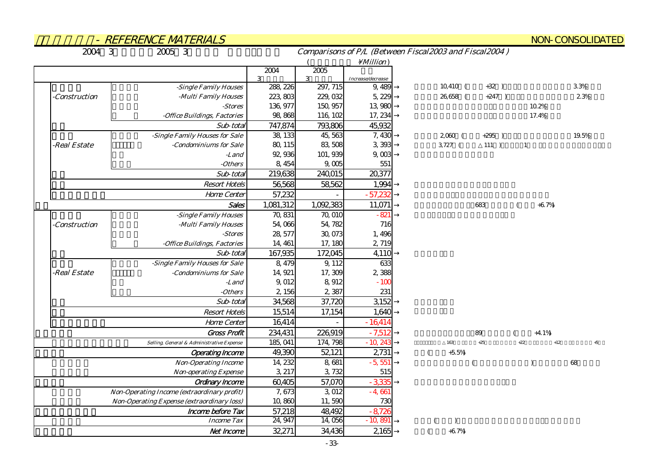|               | - REFERENCE MATERIALS                       |                         |                          |                              |                                                        | <b>NON-CONSOLIDATED</b>   |
|---------------|---------------------------------------------|-------------------------|--------------------------|------------------------------|--------------------------------------------------------|---------------------------|
| 2004 3        | 2005 3                                      |                         |                          |                              | Comparisons of P/L (Between Fiscal2003 and Fiscal2004) |                           |
|               |                                             |                         |                          | $\setminus$ <i>Million</i> ) |                                                        |                           |
|               |                                             | 2004                    | 2005                     |                              |                                                        |                           |
|               | -Single Family Houses                       | 3<br>288, 226           | 3<br>297, 715            | Increase/decrease<br>9,489   | $10,410$ (<br>$+32)$                                   | 3.3%                      |
| -Construction | -Multi Family Houses                        | 223,803                 | 229, 032                 | 5, 229                       | 26,658 (<br>$+247$ )                                   | 2.3%                      |
|               | -Stores                                     | 136, 977                | 150, 957                 | 13,980                       |                                                        | 10.2%                     |
|               | -Office Buildings, Factories                | 98,868                  | 116, 102                 | 17, 234                      |                                                        | 17.4%                     |
|               | Sub-total                                   | 747,874                 | 793,806                  | 45,932                       |                                                        |                           |
|               | -Single Family Houses for Sale              | 38, 133                 | 45,563                   | 7,430                        | $2,060$ (<br>$+295$ )                                  | 19.5%                     |
| -Real Estate  | -Condominiums for Sale                      | 80, 115                 | 83,508                   | 3,393                        | 3,727 (<br>111)                                        | $\mathbf{1}$              |
|               | -Land                                       | 92,936                  | 101, 939                 | 9,003                        |                                                        |                           |
|               | -Others                                     | 8, 454                  | 9,005                    | 551                          |                                                        |                           |
|               | Sub-total                                   | 219,638                 | 240,015                  | 20,377                       |                                                        |                           |
|               | <b>Resort Hotels</b>                        | 56,568                  | 58,562                   | 1,994                        |                                                        |                           |
|               | Home Center                                 | 57,232                  |                          | $-57,232$                    |                                                        |                           |
|               | Sales                                       | $\overline{1}$ ,081,312 | $\overline{1,}$ 092, 383 | 11,071                       | 683                                                    | $+6.7%$                   |
|               | -Single Family Houses                       | 70, 831                 | 70,010                   | $-821$                       |                                                        |                           |
| -Construction | -Multi Family Houses                        | 54,066                  | 54, 782                  | 716                          |                                                        |                           |
|               | -Stores                                     | 28, 577                 | 30,073                   | 1,496                        |                                                        |                           |
|               | -Office Buildings, Factories                | 14, 461                 | 17, 180                  | 2,719                        |                                                        |                           |
|               | Sub-total                                   | 167,935                 | 172045                   | 4,110                        |                                                        |                           |
|               | -Single Family Houses for Sale              | 8,479                   | 9, 112                   | 633                          |                                                        |                           |
| -Real Estate  | -Condominiums for Sale                      | 14, 921                 | 17,309                   | 2,388                        |                                                        |                           |
|               | -Land                                       | 9,012                   | 8,912                    | $-100$                       |                                                        |                           |
|               | -Others                                     | 2,156                   | 2,387                    | 231                          |                                                        |                           |
|               | Sub-total                                   | 34,568                  | 37,720                   | 3,152                        |                                                        |                           |
|               | <b>Resort Hotels</b>                        | 15,514                  | 17,154                   | 1,640                        |                                                        |                           |
|               | Home Center                                 | 16,414                  |                          | $-16414$                     |                                                        |                           |
|               | <b>Gross Profit</b>                         | 234,431                 | 226919                   | $-7,512$                     | 89                                                     | $+4.1%$                   |
|               | Selling, General & Administrative Expense   | 185, 041                | 174, 798                 | $-10,243$                    | 163<br>$+25$                                           | $+12$<br>$+22$<br>$\pm 5$ |
|               | <b>Operating Income</b>                     | 49,390                  | 52,121                   | 2731                         | $+5.5%$<br>$\left($                                    |                           |
|               | <b>Non-Operating Income</b>                 | 14, 232                 | 8,681                    | $-5,551$                     |                                                        | 68<br>$\lambda$           |
|               | <b>Non-operating Expense</b>                | 3, 217                  | 3,732                    | 515                          |                                                        |                           |
|               | Ordinary Income                             | 60,405                  | 57,070                   | $-3,335$                     |                                                        |                           |
|               | Non-Operating Income (extraordinary profit) | 7,673                   | 3,012                    | $-4,661$                     |                                                        |                           |
|               | Non-Operating Expense (extraordinary loss)  | 10,860                  | 11,590                   | 730                          |                                                        |                           |
|               | Income before Tax                           | 57,218                  | 48,492                   | $-8,726$                     |                                                        |                           |
|               | <b>Income Tax</b>                           | 24, 947                 | 14,056                   | $-10,891$                    |                                                        |                           |
|               | Net Income                                  | 32,271                  | 34,436                   | 2165                         | $+6.7%$                                                |                           |